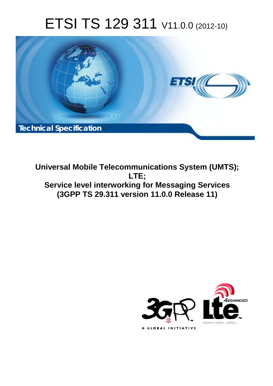# ETSI TS 129 311 V11.0.0 (2012-10)



**Universal Mobile Telecommunications System (UMTS); LTE; Service level interworking for Messaging Services (3GPP TS 29.311 version 11.0.0 Release 11)** 

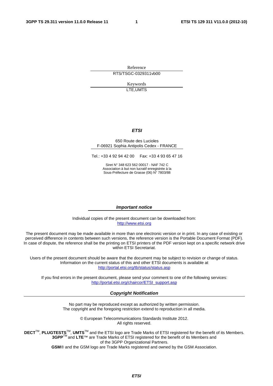Reference RTS/TSGC-0329311vb00

> Keywords LTE,UMTS

#### *ETSI*

#### 650 Route des Lucioles F-06921 Sophia Antipolis Cedex - FRANCE

Tel.: +33 4 92 94 42 00 Fax: +33 4 93 65 47 16

Siret N° 348 623 562 00017 - NAF 742 C Association à but non lucratif enregistrée à la Sous-Préfecture de Grasse (06) N° 7803/88

#### *Important notice*

Individual copies of the present document can be downloaded from: [http://www.etsi.org](http://www.etsi.org/)

The present document may be made available in more than one electronic version or in print. In any case of existing or perceived difference in contents between such versions, the reference version is the Portable Document Format (PDF). In case of dispute, the reference shall be the printing on ETSI printers of the PDF version kept on a specific network drive within ETSI Secretariat.

Users of the present document should be aware that the document may be subject to revision or change of status. Information on the current status of this and other ETSI documents is available at <http://portal.etsi.org/tb/status/status.asp>

If you find errors in the present document, please send your comment to one of the following services: [http://portal.etsi.org/chaircor/ETSI\\_support.asp](http://portal.etsi.org/chaircor/ETSI_support.asp)

#### *Copyright Notification*

No part may be reproduced except as authorized by written permission. The copyright and the foregoing restriction extend to reproduction in all media.

> © European Telecommunications Standards Institute 2012. All rights reserved.

**DECT**TM, **PLUGTESTS**TM, **UMTS**TM and the ETSI logo are Trade Marks of ETSI registered for the benefit of its Members. **3GPP**TM and **LTE**™ are Trade Marks of ETSI registered for the benefit of its Members and of the 3GPP Organizational Partners.

**GSM**® and the GSM logo are Trade Marks registered and owned by the GSM Association.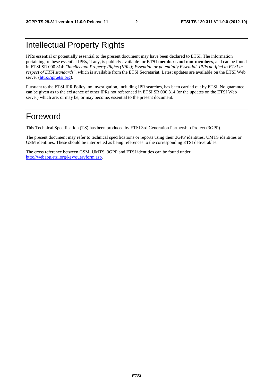## Intellectual Property Rights

IPRs essential or potentially essential to the present document may have been declared to ETSI. The information pertaining to these essential IPRs, if any, is publicly available for **ETSI members and non-members**, and can be found in ETSI SR 000 314: *"Intellectual Property Rights (IPRs); Essential, or potentially Essential, IPRs notified to ETSI in respect of ETSI standards"*, which is available from the ETSI Secretariat. Latest updates are available on the ETSI Web server [\(http://ipr.etsi.org\)](http://webapp.etsi.org/IPR/home.asp).

Pursuant to the ETSI IPR Policy, no investigation, including IPR searches, has been carried out by ETSI. No guarantee can be given as to the existence of other IPRs not referenced in ETSI SR 000 314 (or the updates on the ETSI Web server) which are, or may be, or may become, essential to the present document.

## Foreword

This Technical Specification (TS) has been produced by ETSI 3rd Generation Partnership Project (3GPP).

The present document may refer to technical specifications or reports using their 3GPP identities, UMTS identities or GSM identities. These should be interpreted as being references to the corresponding ETSI deliverables.

The cross reference between GSM, UMTS, 3GPP and ETSI identities can be found under [http://webapp.etsi.org/key/queryform.asp.](http://webapp.etsi.org/key/queryform.asp)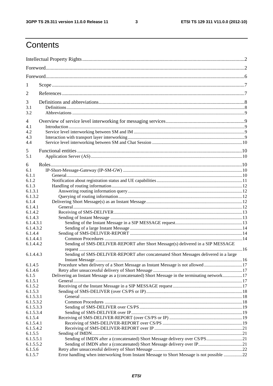$\mathbf{3}$ 

## Contents

| 1                    |                                                                                              |      |  |
|----------------------|----------------------------------------------------------------------------------------------|------|--|
| $\overline{2}$       |                                                                                              |      |  |
| 3                    |                                                                                              |      |  |
| 3.1                  |                                                                                              |      |  |
| 3.2                  |                                                                                              |      |  |
| 4                    |                                                                                              |      |  |
| 4.1<br>4.2           |                                                                                              |      |  |
| 4.3                  |                                                                                              |      |  |
| 4.4                  |                                                                                              |      |  |
|                      |                                                                                              |      |  |
| 5                    |                                                                                              |      |  |
| 5.1                  |                                                                                              |      |  |
| 6                    |                                                                                              |      |  |
| 6.1                  |                                                                                              |      |  |
| 6.1.1                |                                                                                              |      |  |
| 6.1.2                |                                                                                              |      |  |
| 6.1.3                |                                                                                              |      |  |
| 6.1.3.1              |                                                                                              |      |  |
| 6.1.3.2              |                                                                                              |      |  |
| 6.1.4                |                                                                                              |      |  |
| 6.1.4.1              |                                                                                              |      |  |
| 6.1.4.2              |                                                                                              |      |  |
| 6.1.4.3              |                                                                                              |      |  |
| 6.1.4.3.1            |                                                                                              |      |  |
| 6.1.4.3.2            |                                                                                              |      |  |
| 6.1.4.4<br>6.1.4.4.1 |                                                                                              |      |  |
| 6.1.4.4.2            | Sending of SMS-DELIVER-REPORT after Short Message(s) delivered in a SIP MESSAGE              |      |  |
| 6.1.4.4.3            | Sending of SMS-DELIVER-REPORT after concatenated Short Messages delivered in a large         |      |  |
|                      |                                                                                              | . 16 |  |
| 6.1.4.5              | Procedure when delivery of a Short Message as Instant Message is not allowed17               |      |  |
| 6.1.4.6              |                                                                                              |      |  |
| 6.1.5                | Delivering an Instant Message as a (concatenated) Short Message in the terminating network17 |      |  |
| 6.1.5.1              |                                                                                              |      |  |
| 6.1.5.2              |                                                                                              |      |  |
| 6.1.5.3              |                                                                                              |      |  |
| 6.1.5.3.1            |                                                                                              |      |  |
| 6.1.5.3.2            |                                                                                              |      |  |
| 6.1.5.3.3            |                                                                                              |      |  |
| 6.1.5.3.4            |                                                                                              |      |  |
| 6.1.5.4              |                                                                                              |      |  |
| 6.1.5.4.1            |                                                                                              |      |  |
| 6.1.5.4.2            |                                                                                              |      |  |
| 6.1.5.5              |                                                                                              |      |  |
| 6.1.5.5.1            |                                                                                              |      |  |
| 6.1.5.5.2            |                                                                                              |      |  |
| 6.1.5.6              | Error handling when interworking from Instant Message to Short Message is not possible 22    |      |  |
| 6.1.5.7              |                                                                                              |      |  |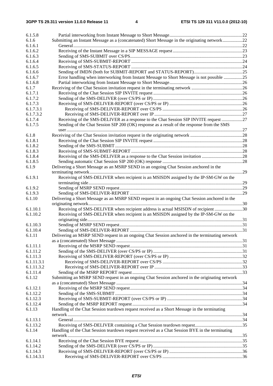| 6.1.5.8    |                                                                                                 |  |
|------------|-------------------------------------------------------------------------------------------------|--|
| 6.1.6      | Submitting an Instant Message as a (concatenated) Short Message in the originating network22    |  |
| 6.1.6.1    |                                                                                                 |  |
| 6.1.6.2    |                                                                                                 |  |
| 6.1.6.3    |                                                                                                 |  |
| 6.1.6.4    |                                                                                                 |  |
| 6.1.6.5    |                                                                                                 |  |
| 6.1.6.6    |                                                                                                 |  |
| 6.1.6.7    | Error handling when interworking from Instant Message to Short Message is not possible 25       |  |
| 6.1.6.8    |                                                                                                 |  |
| 6.1.7      |                                                                                                 |  |
| 6.1.7.1    |                                                                                                 |  |
| 6.1.7.2    |                                                                                                 |  |
| 6.1.7.3    |                                                                                                 |  |
| 6.1.7.3.1  |                                                                                                 |  |
| 6.1.7.3.2  |                                                                                                 |  |
| 6.1.7.4    | Receiving of the SMS-DELIVER as a response to the Chat Session SIP INVITE request 27            |  |
| 6.1.7.5    | Sending of the Chat Session SIP 200 (OK) response as a result of the response from the SMS      |  |
|            |                                                                                                 |  |
| 6.1.8      |                                                                                                 |  |
| 6.1.8.1    |                                                                                                 |  |
| 6.1.8.2    |                                                                                                 |  |
| 6.1.8.3    |                                                                                                 |  |
| 6.1.8.4    |                                                                                                 |  |
| 6.1.8.5    |                                                                                                 |  |
| 6.1.9      | Delivering a Short Message as an MSRP SEND in an ongoing Chat Session anchored in the           |  |
|            |                                                                                                 |  |
| 6.1.9.1    | Receiving of SMS-DELIVER when recipient is an MSISDN assigned by the IP-SM-GW on the            |  |
|            |                                                                                                 |  |
| 6.1.9.2    |                                                                                                 |  |
| 6.1.9.3    |                                                                                                 |  |
| 6.1.10     | Delivering a Short Message as an MSRP SEND request in an ongoing Chat Session anchored in the   |  |
|            |                                                                                                 |  |
| 6.1.10.1   | Receiving of SMS-DELIVER when recipient address is actual MSISDN of recipient 30                |  |
| 6.1.10.2   | Receiving of SMS-DELIVER when recipient is an MSISDN assigned by the IP-SM-GW on the            |  |
|            |                                                                                                 |  |
| 6.1.10.3   |                                                                                                 |  |
| 6.1.10.4   |                                                                                                 |  |
| 6.1.11     | Delivering an MSRP SEND request in an ongoing Chat Session anchored in the terminating network  |  |
|            |                                                                                                 |  |
| 6.1.11.1   |                                                                                                 |  |
| 6.1.11.2   |                                                                                                 |  |
| 6.1.11.3   |                                                                                                 |  |
| 6.1.11.3.1 |                                                                                                 |  |
| 6.1.11.3.2 |                                                                                                 |  |
| 6.1.11.4   | Submitting an MSRP SEND request in an ongoing Chat Session anchored in the originating network  |  |
| 6.1.12     |                                                                                                 |  |
| 6.1.12.1   |                                                                                                 |  |
| 6.1.12.2   |                                                                                                 |  |
| 6.1.12.3   |                                                                                                 |  |
| 6.1.12.4   |                                                                                                 |  |
| 6.1.13     | Handling of the Chat Session teardown request received as a Short Message in the terminating    |  |
|            |                                                                                                 |  |
| 6.1.13.1   |                                                                                                 |  |
| 6.1.13.2   |                                                                                                 |  |
| 6.1.14     | Handling of the Chat Session teardown request received as a Chat Session BYE in the terminating |  |
|            |                                                                                                 |  |
| 6.1.14.1   |                                                                                                 |  |
| 6.1.14.2   |                                                                                                 |  |
| 6.1.14.3   |                                                                                                 |  |
| 6.1.14.3.1 |                                                                                                 |  |
|            |                                                                                                 |  |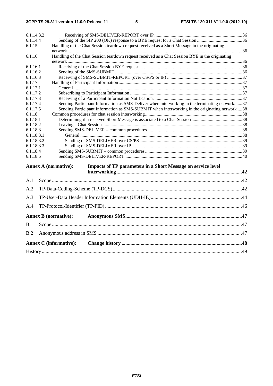| 6.1.14.3.2         |                                                                                                    |  |  |
|--------------------|----------------------------------------------------------------------------------------------------|--|--|
| 6.1.14.4           |                                                                                                    |  |  |
| 6.1.15             | Handling of the Chat Session teardown request received as a Short Message in the originating       |  |  |
|                    |                                                                                                    |  |  |
| 6.1.16             | Handling of the Chat Session teardown request received as a Chat Session BYE in the originating    |  |  |
|                    |                                                                                                    |  |  |
| 6.1.16.1           |                                                                                                    |  |  |
| 6.1.16.2           |                                                                                                    |  |  |
| 6.1.16.3           |                                                                                                    |  |  |
| 6.1.17             |                                                                                                    |  |  |
| 6.1.17.1           |                                                                                                    |  |  |
| 6.1.17.2           |                                                                                                    |  |  |
| 6.1.17.3           |                                                                                                    |  |  |
| 6.1.17.4           | Sending Participant Information as SMS-Deliver when interworking in the terminating network37      |  |  |
| 6.1.17.5           | Sending Participant Information as SMS-SUBMIT when interworking in the originating network 38      |  |  |
| 6.1.18<br>6.1.18.1 |                                                                                                    |  |  |
| 6.1.18.2           |                                                                                                    |  |  |
| 6.1.18.3           |                                                                                                    |  |  |
| 6.1.18.3.1         |                                                                                                    |  |  |
| 6.1.18.3.2         |                                                                                                    |  |  |
| 6.1.18.3.3         |                                                                                                    |  |  |
| 6.1.18.4           |                                                                                                    |  |  |
| 6.1.18.5           |                                                                                                    |  |  |
|                    |                                                                                                    |  |  |
|                    | <b>Annex A (normative):</b><br><b>Impacts of TP parameters in a Short Message on service level</b> |  |  |
|                    |                                                                                                    |  |  |
| A.1                |                                                                                                    |  |  |
|                    |                                                                                                    |  |  |
| A.2                |                                                                                                    |  |  |
| A.3                |                                                                                                    |  |  |
| A.4                |                                                                                                    |  |  |
|                    | <b>Annex B</b> (normative):                                                                        |  |  |
|                    |                                                                                                    |  |  |
| B.1                |                                                                                                    |  |  |
| B.2                |                                                                                                    |  |  |
|                    | <b>Annex C</b> (informative):                                                                      |  |  |
|                    |                                                                                                    |  |  |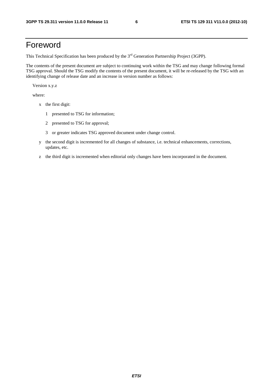## Foreword

This Technical Specification has been produced by the 3<sup>rd</sup> Generation Partnership Project (3GPP).

The contents of the present document are subject to continuing work within the TSG and may change following formal TSG approval. Should the TSG modify the contents of the present document, it will be re-released by the TSG with an identifying change of release date and an increase in version number as follows:

Version x.y.z

where:

- x the first digit:
	- 1 presented to TSG for information;
	- 2 presented to TSG for approval;
	- 3 or greater indicates TSG approved document under change control.
- y the second digit is incremented for all changes of substance, i.e. technical enhancements, corrections, updates, etc.
- z the third digit is incremented when editorial only changes have been incorporated in the document.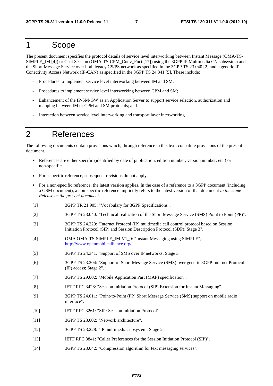## 1 Scope

The present document specifies the protocol details of service level interworking between Instant Message (OMA-TS-SIMPLE IM [4]) or Chat Session (OMA-TS-CPM\_Conv\_Fnct [17]) using the 3GPP IP Multimedia CN subsystem and the Short Message Service over both legacy CS/PS network as specified in the 3GPP TS 23.040 [2] and a generic IP Conectivity Access Network (IP-CAN) as specified in the 3GPP TS 24.341 [5]. These include:

- Procedures to implement service level interworking between IM and SM;
- Procedures to implement service level interworking between CPM and SM;
- Enhancement of the IP-SM-GW as an Application Server to support service selection, authorization and mapping between IM or CPM and SM protocols; and
- Interaction between service level interworking and transport layer interworking.

## 2 References

The following documents contain provisions which, through reference in this text, constitute provisions of the present document.

- References are either specific (identified by date of publication, edition number, version number, etc.) or non-specific.
- For a specific reference, subsequent revisions do not apply.
- For a non-specific reference, the latest version applies. In the case of a reference to a 3GPP document (including a GSM document), a non-specific reference implicitly refers to the latest version of that document *in the same Release as the present document*.
- [1] 3GPP TR 21.905: "Vocabulary for 3GPP Specifications".
- [2] 3GPP TS 23.040: "Technical realization of the Short Message Service (SMS) Point to Point (PP)".
- [3] 3GPP TS 24.229: "Internet Protocol (IP) multimedia call control protocol based on Session Initiation Protocol (SIP) and Session Description Protocol (SDP); Stage 3".
- [4] OMA OMA-TS-SIMPLE IM-V1 0: "Instant Messaging using SIMPLE", [http://www.openmobilealliance.org/.](http://www.openmobilealliance.org/)
- [5] 3GPP TS 24.341: "Support of SMS over IP networks; Stage 3".
- [6] 3GPP TS 23.204: "Support of Short Message Service (SMS) over generic 3GPP Internet Protocol (IP) access; Stage 2".
- [7] 3GPP TS 29.002: "Mobile Application Part (MAP) specification".
- [8] IETF RFC 3428: "Session Initiation Protocol (SIP) Extension for Instant Messaging".
- [9] 3GPP TS 24.011: "Point-to-Point (PP) Short Message Service (SMS) support on mobile radio interface".
- [10] IETF RFC 3261: "SIP: Session Initiation Protocol".
- [11] 3GPP TS 23.002: "Network architecture".
- [12] 3GPP TS 23.228: "IP multimedia subsystem; Stage 2".
- [13] IETF RFC 3841: "Caller Preferences for the Session Initiation Protocol (SIP)".
- [14] 3GPP TS 23.042: "Compression algorithm for text messaging services".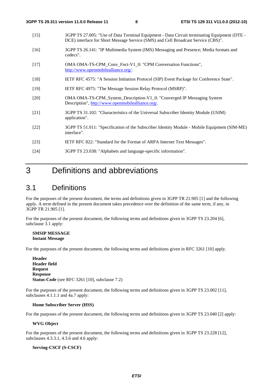- [15] 3GPP TS 27.005: "Use of Data Terminal Equipment Data Circuit terminating Equipment (DTE DCE) interface for Short Message Service (SMS) and Cell Broadcast Service (CBS)".
- [16] 3GPP TS 26.141: "IP Multimedia System (IMS) Messaging and Presence; Media formats and codecs".
- [17] OMA OMA-TS-CPM\_Conv\_Fnct-V1\_0: "CPM Conversation Functions", <http://www.openmobilealliance.org/>.
- [18] IETF RFC 4575: "A Session Initiation Protocol (SIP) Event Package for Conference State".
- [19] IETF RFC 4975: "The Message Session Relay Protocol (MSRP)".
- [20] OMA OMA-TS-CPM\_System\_Description-V1\_0: "Converged IP Messaging System Description", [http://www.openmobilealliance.org/.](http://www.openmobilealliance.org/)
- [21] 3GPP TS 31.102: "Characteristics of the Universal Subscriber Identity Module (USIM) application".
- [22] 3GPP TS 51.011: "Specification of the Subscriber Identity Module Mobile Equipment (SIM-ME) interface".
- [23] IETF RFC 822: "Standard for the Format of ARPA Internet Text Messages".
- [24] 3GPP TS 23.038: "Alphabets and language-specific information".

## 3 Definitions and abbreviations

## 3.1 Definitions

For the purposes of the present document, the terms and definitions given in 3GPP TR 21.905 [1] and the following apply. A term defined in the present document takes precedence over the definition of the same term, if any, in 3GPP TR 21.905 [1].

For the purposes of the present document, the following terms and definitions given in 3GPP TS 23.204 [6], subclause 3.1 apply:

#### **SMSIP MESSAGE Instant Message**

For the purposes of the present document, the following terms and definitions given in RFC 3261 [10] apply.

**Header Header field Request Response Status-Code** (see RFC 3261 [10], subclause 7.2)

For the purposes of the present document, the following terms and definitions given in 3GPP TS 23.002 [11], subclauses 4.1.1.1 and 4a.7 apply:

#### **Home Subscriber Server (HSS)**

For the purposes of the present document, the following terms and definitions given in 3GPP TS 23.040 [2] apply:

#### **WVG Object**

For the purposes of the present document, the following terms and definitions given in 3GPP TS 23.228 [12], subclauses 4.3.3.1, 4.3.6 and 4.6 apply:

#### **Serving-CSCF (S-CSCF)**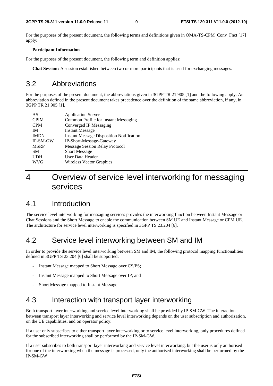For the purposes of the present document, the following terms and definitions given in OMA-TS-CPM. Conv. Fnct [17] apply:

#### **Participant Information**

For the purposes of the present document, the following term and definition applies:

**Chat Session:** A session established between two or more participants that is used for exchanging messages.

## 3.2 Abbreviations

For the purposes of the present document, the abbreviations given in 3GPP TR 21.905 [1] and the following apply. An abbreviation defined in the present document takes precedence over the definition of the same abbreviation, if any, in 3GPP TR 21.905 [1].

| AS          | <b>Application Server</b>                       |
|-------------|-------------------------------------------------|
| <b>CPIM</b> | Common Profile for Instant Messaging            |
| <b>CPM</b>  | Converged IP Messaging                          |
| <b>IM</b>   | <b>Instant Message</b>                          |
| <b>IMDN</b> | <b>Instant Message Disposition Notification</b> |
| IP-SM-GW    | IP-Short-Message-Gateway                        |
| <b>MSRP</b> | <b>Message Session Relay Protocol</b>           |
| <b>SM</b>   | <b>Short Message</b>                            |
| <b>UDH</b>  | User Data Header                                |
| WVG         | <b>Wireless Vector Graphics</b>                 |

## 4 Overview of service level interworking for messaging services

## 4.1 Introduction

The service level interworking for messaging services provides the interworking function between Instant Message or Chat Sessions and the Short Message to enable the communication between SM UE and Instant Message or CPM UE. The architecture for service level interworking is specified in 3GPP TS 23.204 [6].

## 4.2 Service level interworking between SM and IM

In order to provide the service level interworking between SM and IM, the following protocol mapping functionalities defined in 3GPP TS 23.204 [6] shall be supported:

- Instant Message mapped to Short Message over CS/PS;
- Instant Message mapped to Short Message over IP; and
- Short Message mapped to Instant Message.

## 4.3 Interaction with transport layer interworking

Both transport layer interworking and service level interworking shall be provided by IP-SM-GW. The interaction between transport layer interworking and service level interworking depends on the user subscription and authorization, on the UE capabilities, and on operator policy.

If a user only subscribes to either transport layer interworking or to service level interworking, only procedures defined for the subscribed interworking shall be performed by the IP-SM-GW.

If a user subscribes to both transport layer interworking and service level interworking, but the user is only authorised for one of the interworking when the message is processed, only the authorised interworking shall be performed by the IP-SM-GW.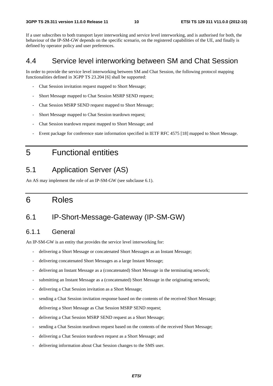If a user subscribes to both transport layer interworking and service level interworking, and is authorised for both, the behaviour of the IP-SM-GW depends on the specific scenario, on the registered capabilities of the UE, and finally is defined by operator policy and user preferences.

## 4.4 Service level interworking between SM and Chat Session

In order to provide the service level interworking between SM and Chat Session, the following protocol mapping functionalities defined in 3GPP TS 23.204 [6] shall be supported:

- Chat Session invitation request mapped to Short Message;
- Short Message mapped to Chat Session MSRP SEND request;
- Chat Session MSRP SEND request mapped to Short Message;
- Short Message mapped to Chat Session teardown request;
- Chat Session teardown request mapped to Short Message; and
- Event package for conference state information specified in IETF RFC 4575 [18] mapped to Short Message.
- 5 Functional entities

## 5.1 Application Server (AS)

An AS may implement the role of an IP-SM-GW (see subclause 6.1).

## 6 Roles

## 6.1 IP-Short-Message-Gateway (IP-SM-GW)

## 6.1.1 General

An IP-SM-GW is an entity that provides the service level interworking for:

- delivering a Short Message or concatenated Short Messages as an Instant Message;
- delivering concatenated Short Messages as a large Instant Message;
- delivering an Instant Message as a (concatenated) Short Message in the terminating network;
- submitting an Instant Message as a (concatenated) Short Message in the originating network;
- delivering a Chat Session invitation as a Short Message;
- sending a Chat Session invitation response based on the contents of the received Short Message; delivering a Short Message as Chat Session MSRP SEND request;
- delivering a Chat Session MSRP SEND request as a Short Message;
- sending a Chat Session teardown request based on the contents of the received Short Message;
- delivering a Chat Session teardown request as a Short Message; and
- delivering information about Chat Session changes to the SMS user.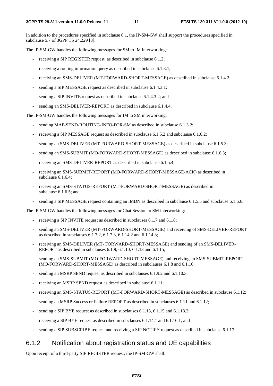In addition to the procedures specified in subclause 6.1, the IP-SM-GW shall support the procedures specified in subclause 5.7 of 3GPP TS 24.229 [3].

The IP-SM-GW handles the following messages for SM to IM interworking:

- receiving a SIP REGISTER request, as described in subclause 6.1.2;
- receiving a routing information query as described in subclause 6.1.3.1;
- receiving an SMS-DELIVER (MT-FORWARD-SHORT-MESSAGE) as described in subclause 6.1.4.2;
- sending a SIP MESSAGE request as described in subclause 6.1.4.3.1;
- sending a SIP INVITE request as described in subclause 6.1.4.3.2; and
- sending an SMS-DELIVER-REPORT as described in subclause 6.1.4.4.

The IP-SM-GW handles the following messages for IM to SM interworking:

- sending MAP-SEND-ROUTING-INFO-FOR-SM as described in subclause 6.1.3.2;
- receiving a SIP MESSAGE request as described in subclause 6.1.5.2 and subclause 6.1.6.2;
- sending an SMS-DELIVER (MT-FORWARD-SHORT-MESSAGE) as described in subclause 6.1.5.3;
- sending an SMS-SUBMIT (MO-FORWARD-SHORT-MESSAGE) as described in subclause 6.1.6.3;
- receiving an SMS-DELIVER-REPORT as described in subclause 6.1.5.4;
- receiving an SMS-SUBMIT-REPORT (MO-FORWARD-SHORT-MESSAGE-ACK) as described in subclause 6.1.6.4;
- receiving an SMS-STATUS-REPORT (MT-FORWARD-SHORT-MESSAGE) as described in subclause 6.1.6.5; and
- sending a SIP MESSAGE request containing an IMDN as described in subclause 6.1.5.5 and subclause 6.1.6.6.

The IP-SM-GW handles the following messages for Chat Session to SM interworking:

- receiving a SIP INVITE request as described in subclauses 6.1.7 and 6.1.8;
- sending an SMS-DELIVER (MT-FORWARD-SHORT-MESSAGE) and receiving of SMS-DELIVER-REPORT as described in subclauses 6.1.7.2, 6.1.7.3, 6.1.14.2 and 6.1.14.3;
- receiving an SMS-DELIVER (MT- FORWARD-SHORT-MESSAGE) and sending of an SMS-DELIVER-REPORT as described in subclauses 6.1.9, 6.1.10, 6.1.13 and 6.1.15;
- sending an SMS-SUBMIT (MO-FORWARD-SHORT-MESSAGE) and receiving an SMS-SUBMIT-REPORT (MO-FORWARD-SHORT-MESSAGE) as described in subclauses 6.1.8 and 6.1.16;
- sending an MSRP SEND request as described in subclauses 6.1.9.2 and 6.1.10.3;
- receiving an MSRP SEND request as described in subclause 6.1.11;
- receiving an SMS-STATUS-REPORT (MT-FORWARD-SHORT-MESSAGE) as described in subclause 6.1.12;
- sending an MSRP Success or Failure REPORT as described in subclauses 6.1.11 and 6.1.12;
- sending a SIP BYE request as described in subclauses 6.1.13, 6.1.15 and 6.1.18.2;
- receiving a SIP BYE request as described in subclauses 6.1.14.1 and 6.1.16.1; and
- sending a SIP SUBSCRIBE request and receiving a SIP NOTIFY request as described in subclause 6.1.17.

## 6.1.2 Notification about registration status and UE capabilities

Upon receipt of a third-party SIP REGISTER request, the IP-SM-GW shall: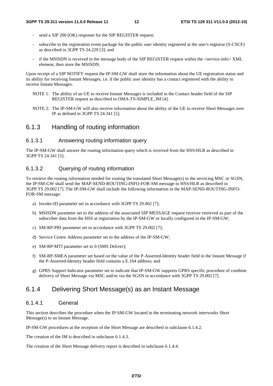- send a SIP 200 (OK) response for the SIP REGISTER request:
- subscribe to the registration event package for the public user identity registered at the user's registrar (S-CSCF) as described in 3GPP TS 24.229 [3]; and
- if the MSISDN is received in the message body of the SIP REGISTER request within the <service-info> XML element, then store the MSISDN.

Upon receipt of a SIP NOTIFY request the IP-SM-GW shall store the information about the UE registration status and its ability for receiving Instant Messages, i.e. if the public user identity has a contact registered with the ability to receive Instant Messages.

- NOTE 1: The ability of an UE to receive Instant Messages is included in the Contact header field of the SIP REGISTER request as described in OMA-TS-SIMPLE\_IM [4].
- NOTE 2: The IP-SM-GW will also receive information about the ability of the UE to receive Short Messages over IP as defined in 3GPP TS 24.341 [5].

## 6.1.3 Handling of routing information

### 6.1.3.1 Answering routing information query

The IP-SM-GW shall answer the routing information query which is received from the HSS/HLR as described in 3GPP TS 24.341 [5].

### 6.1.3.2 Querying of routing information

To retrieve the routing information needed for routing the translated Short Message(s) to the servicing MSC or SGSN, the IP-SM-GW shall send the MAP-SEND-ROUTING-INFO-FOR-SM message to HSS/HLR as described in 3GPP TS 29.002 [7]. The IP-SM-GW shall include the following information in the MAP-SEND-ROUTING-INFO-FOR-SM message:

- a) Invoke-ID parameter set in accordance with 3GPP TS 29.002 [7];
- b) MSISDN parameter set to the address of the associated SIP MESSAGE request receiver retrieved as part of the subscriber data from the HSS at registration by the IP-SM-GW or locally configured in the IP-SM-GW;
- c) SM-RP-PRI parameter set in accordance with 3GPP TS 29.002 [7];
- d) Service Centre Address parameter set to the address of the IP-SM-GW;
- e) SM-RP-MTI parameter set to 0 (SMS Deliver);
- f) SM-RP-SMEA parameter set based on the value of the P-Asserted-Identity header field in the Instant Message if the P-Asserted-Identity header field contains a E.164 address; and
- g) GPRS Support Indicator parameter set to indicate that IP-SM-GW supports GPRS specific procedure of combine delivery of Short Message via MSC and/or via the SGSN in accordance with 3GPP TS 29.002 [7].

## 6.1.4 Delivering Short Message(s) as an Instant Message

#### 6.1.4.1 General

This section describes the procedure when the IP-SM-GW located in the terminating network interworks Short Message(s) to an Instant Message.

IP-SM-GW procedures at the reception of the Short Message are described in subclause 6.1.4.2.

The creation of the IM is described in subclause 6.1.4.3.

The creation of the Short Message delivery report is described in subclause 6.1.4.4.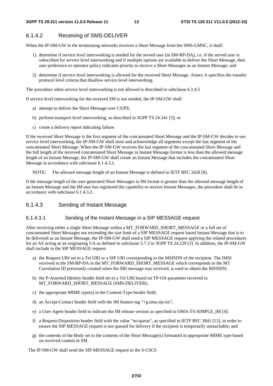## 6.1.4.2 Receiving of SMS-DELIVER

When the IP-SM-GW in the terminating networks receives a Short Message from the SMS-GMSC, it shall:

- 1) determine if service level interworking is needed for the served user (in SM-RP-DA), i.e. if the served user is subscribed for service level interworking and if multiple options are available to deliver the Short Message, then user preference or operator policy indicates priority to receive a Short Messages as an Instant Message; and
- 2) determine if service level interworking is allowed for the received Short Message. Annex A specifies the transfer protocol level criteria that disallow service level interworking.

The procedure when service level interworking is not allowed is described in subclause 6.1.4.5

If service level interworking for the received SM is not needed, the IP-SM-GW shall:

- a) attempt to deliver the Short Message over CS/PS;
- b) perform transport level interworking, as described in 3GPP TS 24.341 [5]; or
- c) create a delivery report indicating failure.

If the received Short Message is the first segment of the concatenated Short Message and the IP-SM-GW decides to use service level interworking, the IP-SM-GW shall store and acknowledge all segments except the last segment of the concatenated Short Message. When the IP-SM-GW receives the last segment of the concatenated Short Message and the full length of the received concatenated Short Message in Instant Message format is less than the allowed message length of an Instant Message, the IP-SM-GW shall create an Instant Message that includes the concatenated Short Message in accordance with subclause 6.1.4.3.1.

NOTE: The allowed message length of an Instant Message is defined in IETF RFC 3428 [8].

If the message length of the user generated Short Messages in IM format is greater than the allowed message length of an Instant Message and the IM user has registered the capability to receive Instant Messages, the procedure shall be in accordance with subclause 6.1.4.3.2.

### 6.1.4.3 Sending of Instant Message

#### 6.1.4.3.1 Sending of the Instant Message in a SIP MESSAGE request

After receiving either a single Short Message within a MT\_FORWARD\_SHORT\_MESSAGE or a full set of concatenated Short Messages not exceeding the size limit of a SIP MESSAGE request based Instant Message that is to be delivered as an Instant Message, the IP-SM-GW shall send a SIP MESSAGE request applying the related procedures for an AS acting as an originating UA as defined in subclause 5.7.3 in 3GPP TS 24.229 [3]. In addition, the IP-SM-GW shall include in the SIP MESSAGE request:

- a) the Request URI set to a Tel URI or a SIP URI corresponding to the MSISDN of the recipient. The IMSI received in the SM-RP-DA in the MT\_FORWARD\_SHORT\_MESSAGE which corresponds to the MT Correlation ID previously created when the SRI message was received, is used to obtain the MSISDN;
- b) the P-Asserted Identity header field set to a Tel URI based on TP-OA parameter received in MT\_FORWARD\_SHORT\_MESSAGE (SMS-DELIVER);
- c) the appropriate MIME type(s) in the Content-Type header field;
- d) an Accept-Contact header field with the IM feature-tag "+g.oma.sip-im";
- e) a User-Agent header field to indicate the IM release version as specified in OMA-TS-SIMPLE\_IM [4];
- f) a Request-Disposition header field with the value "no-queue", as specified in IETF RFC 3841 [13], in order to ensure the SIP MESSAGE request is not queued for delivery if the recipient is temporarily unreachable; and
- g) the contents of the Body set to the contents of the Short Message(s) formatted in appropriate MIME type based on received content in SM.

The IP-SM-GW shall send the SIP MESSAGE request to the S-CSCF.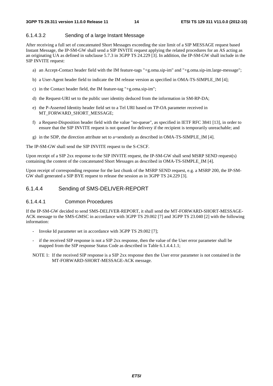#### 6.1.4.3.2 Sending of a large Instant Message

After receiving a full set of concatenated Short Messages exceeding the size limit of a SIP MESSAGE request based Instant Message, the IP-SM-GW shall send a SIP INVITE request applying the related procedures for an AS acting as an originating UA as defined in subclause 5.7.3 in 3GPP TS 24.229 [3]. In addition, the IP-SM-GW shall include in the SIP INVITE request:

- a) an Accept-Contact header field with the IM feature-tags "+g.oma.sip-im" and "+g.oma.sip-im.large-message";
- b) a User-Agent header field to indicate the IM release version as specified in OMA-TS-SIMPLE\_IM [4];
- c) in the Contact header field, the IM feature-tag "+g.oma.sip-im";
- d) the Request-URI set to the public user identity deduced from the information in SM-RP-DA;
- e) the P-Asserted Identity header field set to a Tel URI based on TP-OA parameter received in MT\_FORWARD\_SHORT\_MESSAGE;
- f) a Request-Disposition header field with the value "no-queue", as specified in IETF RFC 3841 [13], in order to ensure that the SIP INVITE request is not queued for delivery if the recipient is temporarily unreachable; and
- g) in the SDP, the direction attribute set to a=sendonly as described in OMA-TS-SIMPLE\_IM [4].

The IP-SM-GW shall send the SIP INVITE request to the S-CSCF.

Upon receipt of a SIP 2xx response to the SIP INVITE request, the IP-SM-GW shall send MSRP SEND request(s) containing the content of the concatenated Short Messages as described in OMA-TS-SIMPLE\_IM [4].

Upon receipt of corresponding response for the last chunk of the MSRP SEND request, e.g. a MSRP 200, the IP-SM-GW shall generated a SIP BYE request to release the session as in 3GPP TS 24.229 [3].

## 6.1.4.4 Sending of SMS-DELIVER-REPORT

#### 6.1.4.4.1 Common Procedures

If the IP-SM-GW decided to send SMS-DELIVER-REPORT, it shall send the MT-FORWARD-SHORT-MESSAGE-ACK message to the SMS-GMSC in accordance with 3GPP TS 29.002 [7] and 3GPP TS 23.040 [2] with the following information:

- Invoke Id parameter set in accordance with 3GPP TS 29.002 [7];
- if the received SIP response is not a SIP 2xx response, then the value of the User error parameter shall be mapped from the SIP response Status Code as described in Table 6.1.4.4.1.1;
- NOTE 1: If the received SIP response is a SIP 2xx response then the User error parameter is not contained in the MT-FORWARD-SHORT-MESSAGE-ACK message.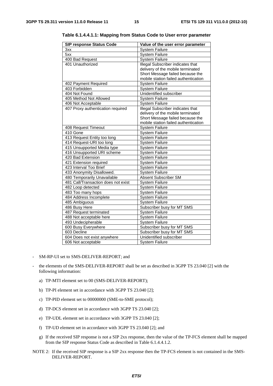| <b>SIP response Status Code</b>     | Value of the user error parameter        |
|-------------------------------------|------------------------------------------|
| 3xx                                 | <b>System Failure</b>                    |
| 5xx                                 | <b>System Failure</b>                    |
| 400 Bad Request                     | <b>System Failure</b>                    |
| 401 Unauthorized                    | Illegal Subscriber indicates that        |
|                                     | delivery of the mobile terminated        |
|                                     | Short Message failed because the         |
|                                     | mobile station failed authentication     |
| 402 Payment Required                | <b>System Failure</b>                    |
| 403 Forbidden                       | <b>System Failure</b>                    |
| 404 Not Found                       | Unidentified subscriber                  |
| 405 Method Not Allowed              | <b>System Failure</b>                    |
| 406 Not Acceptable                  | <b>System Failure</b>                    |
| 407 Proxy authentication required   | <b>Illegal Subscriber indicates that</b> |
|                                     | delivery of the mobile terminated        |
|                                     | Short Message failed because the         |
|                                     | mobile station failed authentication     |
| 408 Request Timeout                 | <b>System Failure</b>                    |
| 410 Gone                            | System Failure                           |
| 413 Request Entity too long         | <b>System Failure</b>                    |
| 414 Request-URI too long            | <b>System Failure</b>                    |
| 415 Unsupported Media type          | <b>System Failure</b>                    |
| 416 Unsupported URI scheme          | <b>System Failure</b>                    |
| 420 Bad Extension                   | <b>System Failure</b>                    |
| 421 Extension required              | <b>System Failure</b>                    |
| 423 Interval Too Brief              | <b>System Failure</b>                    |
| 433 Anonymity Disallowed.           | <b>System Failure</b>                    |
| 480 Temporarily Unavailable         | <b>Absent Subscriber SM</b>              |
| 481 Call/Transaction does not exist | <b>System Failure</b>                    |
| 482 Loop detected                   | <b>System Failure</b>                    |
| 483 Too many hops                   | <b>System Failure</b>                    |
| 484 Address Incomplete              | <b>System Failure</b>                    |
| 485 Ambiguous                       | <b>System Failure</b>                    |
| 486 Busy Here                       | Subscriber busy for MT SMS               |
| 487 Request terminated              | <b>System Failure</b>                    |
| 488 Not acceptable here             | <b>System Failure</b>                    |
| 493 Undecipherable                  | <b>System Failure</b>                    |
| 600 Busy Everywhere                 | Subscriber busy for MT SMS               |
| 603 Decline                         | Subscriber busy for MT SMS               |
| 604 Does not exist anywhere         | Unidentified subscriber                  |
| 606 Not acceptable                  | <b>System Failure</b>                    |

**Table 6.1.4.4.1.1: Mapping from Status Code to User error parameter** 

- SM-RP-UI set to SMS-DELIVER-REPORT; and
- the elements of the SMS-DELIVER-REPORT shall be set as described in 3GPP TS 23.040 [2] with the following information:
	- a) TP-MTI element set to 00 (SMS-DELIVER-REPORT);
	- b) TP-PI element set in accordance with 3GPP TS 23.040 [2];
	- c) TP-PID element set to 00000000 (SME-to-SME protocol);
	- d) TP-DCS element set in accordance with 3GPP TS 23.040 [2];
	- e) TP-UDL element set in accordance with 3GPP TS 23.040 [2];
	- f) TP-UD element set in accordance with 3GPP TS 23.040 [2]; and
	- g) If the received SIP response is not a SIP 2xx response, then the value of the TP-FCS element shall be mapped from the SIP response Status Code as described in Table 6.1.4.4.1.2.
- NOTE 2: If the received SIP response is a SIP 2xx response then the TP-FCS element is not contained in the SMS-DELIVER-REPORT.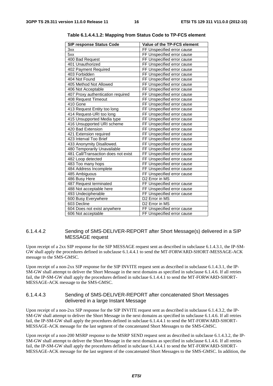| <b>SIP response Status Code</b>     | Value of the TP-FCS element |
|-------------------------------------|-----------------------------|
| 3xx                                 | FF Unspecified error cause  |
| 5xx                                 | FF Unspecified error cause  |
| 400 Bad Request                     | FF Unspecified error cause  |
| 401 Unauthorized                    | FF Unspecified error cause  |
| 402 Payment Required                | FF Unspecified error cause  |
| 403 Forbidden                       | FF Unspecified error cause  |
| 404 Not Found                       | FF Unspecified error cause  |
| 405 Method Not Allowed              | FF Unspecified error cause  |
| 406 Not Acceptable                  | FF Unspecified error cause  |
| 407 Proxy authentication required   | FF Unspecified error cause  |
| 408 Request Timeout                 | FF Unspecified error cause  |
| 410 Gone                            | FF Unspecified error cause  |
| 413 Request Entity too long         | FF Unspecified error cause  |
| 414 Request-URI too long            | FF Unspecified error cause  |
| 415 Unsupported Media type          | FF Unspecified error cause  |
| 416 Unsupported URI scheme          | FF Unspecified error cause  |
| 420 Bad Extension                   | FF Unspecified error cause  |
| 421 Extension required              | FF Unspecified error cause  |
| 423 Interval Too Brief              | FF Unspecified error cause  |
| 433 Anonymity Disallowed.           | FF Unspecified error cause  |
| 480 Temporarily Unavailable         | FF Unspecified error cause  |
| 481 Call/Transaction does not exist | FF Unspecified error cause  |
| 482 Loop detected                   | FF Unspecified error cause  |
| 483 Too many hops                   | FF Unspecified error cause  |
| 484 Address Incomplete              | FF Unspecified error cause  |
| 485 Ambiguous                       | FF Unspecified error cause  |
| 486 Busy Here                       | D2 Error in MS              |
| 487 Request terminated              | FF Unspecified error cause  |
| 488 Not acceptable here             | FF Unspecified error cause  |
| 493 Undecipherable                  | FF Unspecified error cause  |
| 600 Busy Everywhere                 | D2 Error in MS              |
| 603 Decline                         | D2 Error in MS              |
| 604 Does not exist anywhere         | FF Unspecified error cause  |
| 606 Not acceptable                  | FF Unspecified error cause  |

**Table 6.1.4.4.1.2: Mapping from Status Code to TP-FCS element** 

#### 6.1.4.4.2 Sending of SMS-DELIVER-REPORT after Short Message(s) delivered in a SIP MESSAGE request

Upon receipt of a 2xx SIP response for the SIP MESSAGE request sent as described in subclause 6.1.4.3.1, the IP-SM-GW shall apply the procedures defined in subclause 6.1.4.4.1 to send the MT-FORWARD-SHORT-MESSAGE-ACK message to the SMS-GMSC.

Upon receipt of a non-2xx SIP response for the SIP INVITE request sent as described in subclause 6.1.4.3.1, the IP-SM-GW shall attempt to deliver the Short Message in the next domains as specified in subclause 6.1.4.6. If all retries fail, the IP-SM-GW shall apply the procedures defined in subclaue 6.1.4.4.1 to send the MT-FORWARD-SHORT-MESSAGE-ACK message to the SMS-GMSC.

#### 6.1.4.4.3 Sending of SMS-DELIVER-REPORT after concatenated Short Messages delivered in a large Instant Message

Upon receipt of a non-2xx SIP response for the SIP INVITE request sent as described in subclause 6.1.4.3.2, the IP-SM-GW shall attempt to deliver the Short Message in the next domains as specified in subclause 6.1.4.6. If all retries fail, the IP-SM-GW shall apply the procedures defined in subclaue 6.1.4.4.1 to send the MT-FORWARD-SHORT-MESSAGE-ACK message for the last segment of the concatenated Short Messages to the SMS-GMSC.

Upon receipt of a non-200 MSRP response to the MSRP SEND request sent as described in subclause 6.1.4.3.2, the IP-SM-GW shall attempt to deliver the Short Message in the next domains as specified in subclause 6.1.4.6. If all retries fail, the IP-SM-GW shall apply the procedures defined in subclaue 6.1.4.4.1 to send the MT-FORWARD-SHORT-MESSAGE-ACK message for the last segment of the concatenated Short Messages to the SMS-GMSC. In addition, the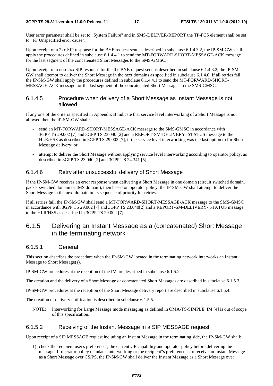User error parameter shall be set to "System Failure" and in SMS-DELIVER-REPORT the TP-FCS element shall be set to "FF Unspecified error cause".

Upon receipt of a 2xx SIP response for the BYE request sent as described in subclause 6.1.4.3.2, the IP-SM-GW shall apply the procedures defined in subclause 6.1.4.4.1 to send the MT-FORWARD-SHORT-MESSAGE-ACK message for the last segment of the concatenated Short Messages to the SMS-GMSC.

Upon receipt of a non-2xx SIP response for the the BYE request sent as described in subclause 6.1.4.3.2, the IP-SM-GW shall attempt to deliver the Short Message in the next domains as specified in subclause 6.1.4.6. If all retries fail, the IP-SM-GW shall apply the procedures defined in subclaue 6.1.4.4.1 to send the MT-FORWARD-SHORT-MESSAGE-ACK message for the last segment of the concatenated Short Messages to the SMS-GMSC.

## 6.1.4.5 Procedure when delivery of a Short Message as Instant Message is not allowed

If any one of the criteria specified in Appendix B indicate that service level interworking of a Short Message is not allowed then the IP-SM-GW shall:

- send an MT-FORWARD-SHORT-MESSAGE-ACK message to the SMS-GMSC in accordance with 3GPP TS 29.002 [7] and 3GPP TS 23.040 [2] and a REPORT-SM-DELIVERY- STATUS message to the HLR/HSS as described in 3GPP TS 29.002 [7], if the service level interworking was the last option to for Short Message delivery; or
- attempt to deliver the Short Message without applying service level interworking according to operator policy, as described in 3GPP TS 23.040 [2] and 3GPP TS 24.341 [5].

### 6.1.4.6 Retry after unsuccessful delivery of Short Message

If the IP-SM-GW receives an error response when delivering a Short Message in one domain (circuit switched domain, packet switched domain or IMS domain), then based on operator policy, the IP-SM-GW shall attempt to deliver the Short Message in the next domain in its sequence of priority for retries.

If all retries fail, the IP-SM-GW shall send a MT-FORWARD-SHORT-MESSAGE-ACK message to the SMS-GMSC in accordance with 3GPP TS 29.002 [7] and 3GPP TS 23.040[2] and a REPORT-SM-DELIVERY- STATUS message to the HLR/HSS as described in 3GPP TS 29.002 [7].

## 6.1.5 Delivering an Instant Message as a (concatenated) Short Message in the terminating network

#### 6.1.5.1 General

This section describes the procedure when the IP-SM-GW located in the terminating network interworks an Instant Message to Short Message(s).

IP-SM-GW procedures at the reception of the IM are described in subclause 6.1.5.2.

The creation and the delivery of a Short Message or concatenated Short Messages are described in subclause 6.1.5.3.

IP-SM-GW procedures at the reception of the Short Message delivery report are described in subclause 6.1.5.4.

The creation of delivery notification is described in subclause 6.1.5.5.

NOTE: Interworking for Large Message mode messaging as defined in OMA-TS-SIMPLE\_IM [4] is out of scope of this specification.

### 6.1.5.2 Receiving of the Instant Message in a SIP MESSAGE request

Upon receipt of a SIP MESSAGE request including an Instant Message in the terminating side, the IP-SM-GW shall:

1) check the recipient user's preferences, the current UE capability and operator policy before delivering the message. If operator policy mandates interworking or the recipient"s preference is to receive an Instant Message as a Short Message over CS/PS, the IP-SM-GW shall deliver the Instant Message as a Short Message over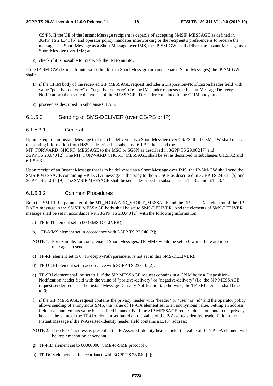CS/PS. If the UE of the Instant Message recipient is capable of accepting SMSIP MESSAGE as defined in 3GPP TS 24.341 [5] and operator policy mandates interworking or the recipient's preference is to receive the message as a Short Message as a Short Message over IMS, the IP-SM-GW shall deliver the Instant Message as a Short Message over IMS; and

2) check if it is possible to interwork the IM to an SM.

If the IP-SM-GW decided to interwork the IM to a Short Message (or concatenated Short Messages) the IP-SM-GW shall:

- 1) if the CPIM body of the received SIP MESSAGE request includes a Disposition-Notification header field with value "positive-delivery" or "negative-delivery" (i.e. the IM sender requests the Instant Message Delivery Notification) then store the values of the MESSAGE-ID Header contained in the CPIM body; and
- 2) proceed as described in subclause 6.1.5.3.

### 6.1.5.3 Sending of SMS-DELIVER (over CS/PS or IP)

#### 6.1.5.3.1 General

Upon receipt of an Instant Message that is to be delivered as a Short Message over CS/PS, the IP-SM-GW shall query the routing information from HSS as described in subclause 6.1.3.2 then send the MT\_FORWARD\_SHORT\_MESSAGE to the MSC or SGSN as described in 3GPP TS 29.002 [7] and 3GPP TS 23.040 [2]. The MT\_FORWARD\_SHORT\_MESSAGE shall be set as described in subclauses 6.1.5.3.2 and 6.1.5.3.3.

Upon receipt of an Instant Message that is to be delivered as a Short Message over IMS, the IP-SM-GW shall send the SMSIP MESSAGE containing RP-DATA message in the body to the S-CSCF as described in 3GPP TS 24.341 [5] and 3GPP TS 24.011 [9]. The SMSIP MESSAGE shall be set as described in subsclauses 6.1.5.3.2 and 6.1.5.3.4.

#### 6.1.5.3.2 Common Procedures

Both the SM-RP-UI parameter of the MT\_FORWARD\_SHORT\_MESSAGE and the RP-User Data element of the RP-DATA message in the SMSIP MESSAGE body shall be set to SMS-DELIVER. And the elements of SMS-DELIVER message shall be set in accordance with 3GPP TS 23.040 [2], with the following information:

- a) TP-MTI element set to 00 (SMS-DELIVER);
- b) TP-MMS element set in accordance with 3GPP TS 23.040 [2];
- NOTE 1: For example, for concatenated Short Messages, TP-MMS would be set to 0 while there are more messages to send.
- c) TP-RP element set to 0 (TP-Reply-Path parameter is not set in this SMS-DELIVER);
- d) TP-UDHI element set in accordance with 3GPP TS 23.040 [2];
- e) TP-SRI element shall be set to 1, if the SIP MESSAGE request contains in a CPIM body a Disposition-Notification header field with the value of "positive-delivery" or "negative-delivery" (i.e. the SIP MESSAGE request sender requests the Instant Message Delivery Notification). Otherwise, the TP-SRI element shall be set to 0;
- f) if the SIP MESSAGE request contains the privacy header with "header" or "user" or "id" and the operator policy allows sending of anonymous SMS, the value of TP-OA element set to an anonymous value. Setting an address field to an anonymous value is described in annex B. If the SIP MESSAGE request does not contain the privacy header, the value of the TP-OA element set based on the value of the P-Asserted-Identity header field in the Instant Message if the P-Asserted-Identity header field contains a E.164 address;
- NOTE 2: If no E.164 address is present in the P-Asserted-Identity header field, the value of the TP-OA element will be implementation dependant.
- g) TP-PID element set to 00000000 (SME-to-SME protocol);
- h) TP-DCS element set in accordance with 3GPP TS 23.040 [2];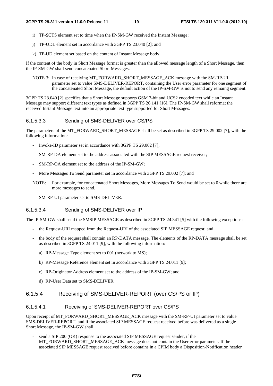- i) TP-SCTS element set to time when the IP-SM-GW received the Instant Message;
- j) TP-UDL element set in accordance with 3GPP TS 23.040 [2]; and
- k) TP-UD element set based on the content of Instant Message body.

If the content of the body in Short Message format is greater than the allowed message length of a Short Message, then the IP-SM-GW shall send concatenated Short Messages.

NOTE 3: In case of receiving MT\_FORWARD\_SHORT\_MESSAGE\_ACK message with the SM-RP-UI parameter set to value SMS-DELIVER-REPORT, containing the User error parameter for one segment of the concatenated Short Message, the default action of the IP-SM-GW is not to send any remaing segment.

3GPP TS 23.040 [2] specifies that a Short Message supports GSM 7-bit and UCS2 encoded text while an Instant Message may support different text types as defined in 3GPP TS 26.141 [16]. The IP-SM-GW shall reformat the received Instant Message text into an appropriate text type supported for Short Messages.

#### 6.1.5.3.3 Sending of SMS-DELIVER over CS/PS

The parameters of the MT\_FORWARD\_SHORT\_MESSAGE shall be set as described in 3GPP TS 29.002 [7], with the following information:

- Invoke-ID parameter set in accordance with 3GPP TS 29.002 [7];
- SM-RP-DA element set to the address associated with the SIP MESSAGE request receiver;
- SM-RP-OA element set to the address of the IP-SM-GW;
- More Messages To Send parameter set in accordance with 3GPP TS 29.002 [7]; and
- NOTE: For example, for concatenated Short Messages, More Messages To Send would be set to 0 while there are more messages to send.
- SM-RP-UI parameter set to SMS-DELIVER.

#### 6.1.5.3.4 Sending of SMS-DELIVER over IP

The IP-SM-GW shall send the SMSIP MESSAGE as described in 3GPP TS 24.341 [5] with the following exceptions:

- the Request-URI mapped from the Request-URI of the associated SIP MESSAGE request; and
- the body of the request shall contain an RP-DATA message. The elements of the RP-DATA message shall be set as described in 3GPP TS 24.011 [9], with the following information:
	- a) RP-Message Type element set to 001 (network to MS);
	- b) RP-Message Reference element set in accordance with 3GPP TS 24.011 [9];
	- c) RP-Originator Address element set to the address of the IP-SM-GW; and
	- d) RP-User Data set to SMS-DELIVER.

## 6.1.5.4 Receiving of SMS-DELIVER-REPORT (over CS/PS or IP)

#### 6.1.5.4.1 Receiving of SMS-DELIVER-REPORT over CS/PS

Upon receipt of MT\_FORWARD\_SHORT\_MESSAGE\_ACK message with the SM-RP-UI parameter set to value SMS-DELIVER-REPORT, and if the associated SIP MESSAGE request received before was delivered as a single Short Message, the IP-SM-GW shall

send a SIP 200 (OK) response to the associated SIP MESSAGE request sender, if the MT\_FORWARD\_SHORT\_MESSAGE\_ACK message does not contain the User error parameter. If the associated SIP MESSAGE request received before contains in a CPIM body a Disposition-Notification header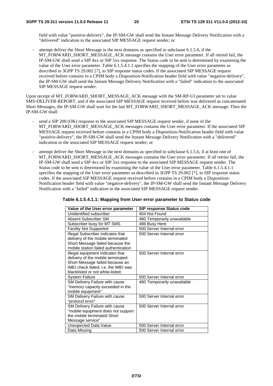field with value "positive-delivery", the IP-SM-GW shall send the Instant Message Delivery Notification with a "delivered" indication to the associated SIP MESSAGE request sender; or

- attempt deliver the Short Message in the next domains as specified in subclause 6.1.5.6, if the MT\_FORWARD\_SHORT\_MESSAGE\_ACK message contains the User error parameter. If all retried fail, the IP-SM-GW shall send a SIP 4xx or SIP 5xx response. The Status code to be sent is determined by examining the value of the User error parameter. Table 6.1.5.4.1.1 specifies the mapping of the User error parameter as described in 3GPP TS 29.002 [7], to SIP response status codes. If the associated SIP MESSAGE request received before contains in a CPIM body a Disposition-Notification header field with value "negative-delivery", the IP-SM-GW shall send the Instant Message Delivery Notification with a "failed" indication to the associated SIP MESSAGE request sender.

Upon receipt of MT\_FORWARD\_SHORT\_MESSAGE\_ACK message with the SM-RP-UI parameter set to value SMS-DELIVER-REPORT, and if the associated SIP MESSAGE request received before was delivered as concatenated Short Messages, the IP-SM-GW shall wait for the last MT\_FORWARD\_SHORT\_MESSAGE\_ACK message. Then the IP-SM-GW shall:

- send a SIP 200 (OK) response to the associated SIP MESSAGE request sender, if none of the MT\_FORWARD\_SHORT\_MESSAGE\_ACK messages contains the User error parameter. If the associated SIP MESSAGE request received before contains in a CPIM body a Disposition-Notification header field with value "positive-delivery", the IP-SM-GW shall send the Instant Message Delivery Notification with a "delivered" indication to the associated SIP MESSAGE request sender; or
- attempt deliver the Short Message in the next domains as specified in subclause 6.1.5.6, if at least one of MT\_FORWARD\_SHORT\_MESSAGE\_ACK messages contains the User error parameter. If all retries fail, the IP-SM-GW shall send a SIP 4xx or SIP 5xx response to the associated SIP MESSAGE request sender. The Status code to be sent is determined by examining the value of the User error parameter. Table 6.1.5.4.1.1 specifies the mapping of the User error parameter as described in 3GPP TS 29.002 [7], to SIP response status codes. If the associated SIP MESSAGE request received before contains in a CPIM body a Disposition-Notification header field with value "negative-delivery", the IP-SM-GW shall send the Instant Message Delivery Notification with a "failed" indication to the associated SIP MESSAGE request sender.

| Value of the User error parameter    | <b>SIP response Status code</b> |
|--------------------------------------|---------------------------------|
| Unidentified subscriber              | 404 Not Found                   |
| Absent Subscriber SM                 | 480 Temporarily unavailable     |
| Subscriber busy for MT SMS           | 486 Busy Here                   |
| <b>Facility Not Supported</b>        | 500 Server Internal error       |
| Illegal Subscriber indicates that    | 500 Server Internal error       |
| delivery of the mobile terminated    |                                 |
| Short Message failed because the     |                                 |
| mobile station failed authentication |                                 |
| Illegal equipment indicates that     | 500 Server Internal error       |
| delivery of the mobile terminated    |                                 |
| Short Message failed because an      |                                 |
| IMEI check failed, i.e. the IMEI was |                                 |
| blacklisted or not white-listed;     |                                 |
| <b>System Failure</b>                | 500 Server Internal error       |
| SM Delivery Failure with cause       | 480 Temporarily unavailable     |
| "memory capacity exceeded in the     |                                 |
| mobile equipment"                    |                                 |
| SM Delivery Failure with cause       | 500 Server Internal error       |
| "protocol error"                     |                                 |
| SM Delivery Failure with cause       | 500 Server Internal error       |
| "mobile equipment does not support   |                                 |
| the mobile terminated Short          |                                 |
| Message service"                     |                                 |
| Unexpected Data Value                | 500 Server Internal error       |
| Data Missing                         | 500 Server Internal error       |

#### **Table 6.1.5.4.1.1: Mapping from User error parameter to Status code**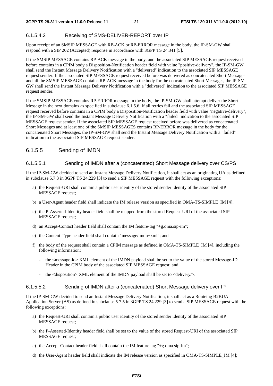## 6.1.5.4.2 Receiving of SMS-DELIVER-REPORT over IP

Upon receipt of an SMSIP MESSAGE with RP-ACK or RP-ERROR message in the body, the IP-SM-GW shall respond with a SIP 202 (Accepted) response in accordance with 3GPP TS 24.341 [5].

If the SMSIP MESSAGE contains RP-ACK message in the body, and the associated SIP MESSAGE request received before contains in a CPIM body a Disposition-Notification header field with value "positive-delivery", the IP-SM-GW shall send the Instant Message Delivery Notification with a "delivered" indication to the associated SIP MESSAGE request sender. If the associated SIP MESSAGE request received before was delivered as concatenated Short Messages and all the SMSIP MESSAGE contains RP-ACK message in the body for the concatenated Short Messages, the IP-SM-GW shall send the Instant Message Delivery Notification with a "delivered" indication to the associated SIP MESSAGE request sender.

If the SMSIP MESSAGE contains RP-ERROR message in the body, the IP-SM-GW shall attempt deliver the Short Message in the next domains as specified in subclause 6.1.5.6. If all retries fail and the associated SIP MESSAGE request received before contains in a CPIM body a Disposition-Notification header field with value "negative-delivery", the IP-SM-GW shall send the Instant Message Delivery Notification with a "failed" indication to the associated SIP MESSAGE request sender. If the associated SIP MESSAGE request received before was delivered as concatenated Short Messages and at least one of the SMSIP MESSAGES contains RP-ERROR message in the body for the concatenated Short Messages, the IP-SM-GW shall send the Instant Message Delivery Notification with a "failed" indication to the associated SIP MESSAGE request sender.

## 6.1.5.5 Sending of IMDN

### 6.1.5.5.1 Sending of IMDN after a (concatenated) Short Message delivery over CS/PS

If the IP-SM-GW decided to send an Instant Message Delivery Notification, it shall act as an originating UA as defined in subclause 5.7.3 in 3GPP TS 24.229 [3] to send a SIP MESSAGE request with the following exceptions:

- a) the Request-URI shall contain a public user identity of the stored sender identity of the associated SIP MESSAGE request;
- b) a User-Agent header field shall indicate the IM release version as specified in OMA-TS-SIMPLE\_IM [4];
- c) the P-Asserted-Identity header field shall be mapped from the stored Request-URI of the associated SIP MESSAGE request;
- d) an Accept-Contact header field shall contain the IM feature-tag "+g.oma.sip-im";
- e) the Content-Type header field shall contain "message/imdn+xml"; and
- f) the body of the request shall contain a CPIM message as defined in OMA-TS-SIMPLE\_IM [4], including the following information:
	- the <message-id> XML element of the IMDN payload shall be set to the value of the stored Message-ID Header in the CPIM body of the associated SIP MESSAGE request; and
	- the <disposition> XML element of the IMDN payload shall be set to <delivery/>.

#### 6.1.5.5.2 Sending of IMDN after a (concatenated) Short Message delivery over IP

If the IP-SM-GW decided to send an Instant Message Delivery Notification, it shall act as a Routeing B2BUA Application Server (AS) as defined in subclause 5.7.5 in 3GPP TS 24.229 [3] to send a SIP MESSAGE request with the following exceptions:

- a) the Request-URI shall contain a public user identity of the stored sender identity of the associated SIP MESSAGE request:
- b) the P-Asserted-Identity header field shall be set to the value of the stored Request-URI of the associated SIP MESSAGE request;
- c) the Accept-Contact header field shall contain the IM feature tag "+g.oma.sip-im";
- d) the User-Agent header field shall indicate the IM release version as specified in OMA-TS-SIMPLE\_IM [4];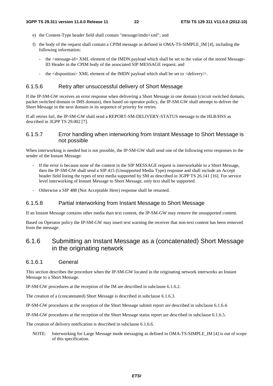- e) the Content-Type header field shall contain "message/imdn+xml"; and
- f) the body of the request shall contain a CPIM message as defined in OMA-TS-SIMPLE\_IM [4], including the following information:
	- the <message-id> XML element of the IMDN payload which shall be set to the value of the stored Message-ID Header in the CPIM body of the associated SIP MESSAGE request; and
	- the  $\langle$  disposition $\rangle$  XML element of the IMDN payload which shall be set to  $\langle$  delivery $\rangle$ .

#### 6.1.5.6 Retry after unsuccessful delivery of Short Message

If the IP-SM-GW receives an error response when delivering a Short Message in one domain (circuit switched domain, packet switched domain or IMS domain), then based on operator policy, the IP-SM-GW shall attempt to deliver the Short Message in the next domain in its sequence of priority for retries.

If all retries fail, the IP-SM-GW shall send a REPORT-SM-DELIVERY-STATUS message to the HLR/HSS as described in 3GPP TS 29.002 [7].

### 6.1.5.7 Error handling when interworking from Instant Message to Short Message is not possible

When interworking is needed but is not possible, the IP-SM-GW shall send one of the following error responses to the sender of the Instant Message:

- If the error is because none of the content in the SIP MESSAGE request is interworkable to a Short Message, then the IP-SM-GW shall send a SIP 415 (Unsupported Media Type) response and shall include an Accept header field listing the types of text media supported by SM as described in 3GPP TS 26.141 [16]. For service level interworking of Instant Message to Short Message, only text shall be supported.
- Otherwise a SIP 488 (Not Acceptable Here) response shall be returned.

#### 6.1.5.8 Partial interworking from Instant Message to Short Message

If an Instant Message contains other media than text content, the IP-SM-GW may remove the unsupported content.

Based on Operator policy the IP-SM-GW may insert text warning the receiver that non-text content has been removed from the message.

## 6.1.6 Submitting an Instant Message as a (concatenated) Short Message in the originating network

#### 6.1.6.1 General

This section describes the procedure when the IP-SM-GW located in the originating network interworks an Instant Message to a Short Message.

IP-SM-GW procedures at the reception of the IM are described in subclause 6.1.6.2.

The creation of a (concatenated) Short Message is described in subclause 6.1.6.3.

IP-SM-GW procedures at the reception of the Short Message submit report are described in subclause 6.1.6.4.

IP-SM-GW procedures at the reception of the Short Message status report are described in subclause 6.1.6.5.

The creation of delivery notification is described in subclause 6.1.6.6.

NOTE: Interworking for Large Message mode messaging as defined in OMA-TS-SIMPLE\_IM [4] is out of scope of this specification.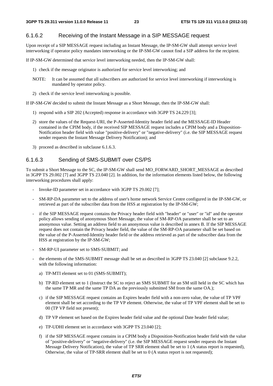#### 6.1.6.2 Receiving of the Instant Message in a SIP MESSAGE request

Upon receipt of a SIP MESSAGE request including an Instant Message, the IP-SM-GW shall attempt service level interworking if operator policy mandates interworking or the IP-SM-GW cannot find a SIP address for the recipient.

If IP-SM-GW determined that service level interworking needed, then the IP-SM-GW shall:

- 1) check if the message originator is authorized for service level interworking; and
- NOTE: It can be assumed that all subscribers are authorized for service level interworking if interworking is mandated by operator policy.
- 2) check if the service level interworking is possible.

If IP-SM-GW decided to submit the Instant Message as a Short Message, then the IP-SM-GW shall:

- 1) respond with a SIP 202 (Accepted) response in accordance with 3GPP TS 24.229 [3];
- 2) store the values of the Request-URI, the P-Asserted-Identity header field and the MESSAGE-ID Header contained in the CPIM body, if the received SIP MESSAGE request includes a CPIM body and a Disposition-Notification header field with value "positive-delivery" or "negative-delivery" (i.e. the SIP MESSAGE request sender requests the Instant Message Delivery Notification); and
- 3) proceed as described in subclause 6.1.6.3.

## 6.1.6.3 Sending of SMS-SUBMIT over CS/PS

To submit a Short Message to the SC, the IP-SM-GW shall send MO\_FORWARD\_SHORT\_MESSAGE as described in 3GPP TS 29.002 [7] and 3GPP TS 23.040 [2]. In addition, for the information elements listed below, the following interworking procedures shall apply:

- Invoke-ID parameter set in accordance with 3GPP TS 29.002 [7];
- SM-RP-DA parameter set to the address of user's home network Service Centre configured in the IP-SM-GW, or retrieved as part of the subscriber data from the HSS at registration by the IP-SM-GW;
- if the SIP MESSAGE request contains the Privacy header field with "header" or "user" or "id" and the operator policy allows sending of anonymous Short Message, the value of SM-RP-OA parameter shall be set to an anonymous value. Setting an address field to an anonymous value is described in annex B. If the SIP MESSAGE request does not contain the Privacy header field, the value of the SM-RP-OA parameter shall be set based on the value of the P-Asserted-Identity header field or the address retrieved as part of the subscriber data from the HSS at registration by the IP-SM-GW;
- SM-RP-UI parameter set to SMS-SUBMIT; and
- the elements of the SMS-SUBMIT message shall be set as described in 3GPP TS 23.040 [2] subclause 9.2.2, with the following information:
	- a) TP-MTI element set to 01 (SMS-SUBMIT);
	- b) TP-RD element set to 1 (Instruct the SC to reject an SMS SUBMIT for an SM still held in the SC which has the same TP MR and the same TP DA as the previously submitted SM from the same OA.);
	- c) if the SIP MESSAGE request contains an Expires header field with a non-zero value, the value of TP VPF element shall be set according to the TP VP element. Otherwise, the value of TP VPF element shall be set to 00 (TP VP field not present);
	- d) TP VP element set based on the Expires header field value and the optional Date header field value;
	- e) TP-UDHI element set in accordance with 3GPP TS 23.040 [2];
	- f) if the SIP MESSAGE request contains in a CPIM body a Disposition-Notification header field with the value of "positive-delivery" or "negative-delivery" (i.e. the SIP MESSAGE request sender requests the Instant Message Delivery Notification), the value of TP SRR element shall be set to 1 (A status report is requested), Otherwise, the value of TP-SRR element shall be set to 0 (A status report is not requested);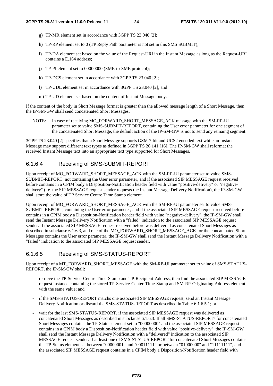- g) TP-MR element set in accordance with 3GPP TS 23.040 [2];
- h) TP-RP element set to 0 (TP Reply Path parameter is not set in this SMS SUBMIT);
- i) TP-DA element set based on the value of the Request-URI in the Instant Message as long as the Request-URI contains a E.164 address;
- j) TP-PI element set to 00000000 (SME-to-SME protocol);
- k) TP-DCS element set in accordance with 3GPP TS 23.040 [2];
- l) TP-UDL element set in accordance with 3GPP TS 23.040 [2]; and
- m) TP-UD element set based on the content of Instant Message body.

If the content of the body in Short Message format is greater than the allowed message length of a Short Message, then the IP-SM-GW shall send concatenated Short Messages.

NOTE: In case of receiving MO\_FORWARD\_SHORT\_MESSAGE\_ACK message with the SM-RP-UI parameter set to value SMS-SUBMIT-REPORT, containing the User error parameter for one segment of the concatenated Short Message, the default action of the IP-SM-GW is not to send any remaing segment.

3GPP TS 23.040 [2] specifies that a Short Message supports GSM 7-bit and UCS2 encoded text while an Instant Message may support different text types as defined in 3GPP TS 26.141 [16]. The IP-SM-GW shall reformat the received Instant Message text into an appropriate text type supported for Short Messages.

## 6.1.6.4 Receiving of SMS-SUBMIT-REPORT

Upon receipt of MO\_FORWARD\_SHORT\_MESSAGE\_ACK with the SM-RP-UI parameter set to value SMS-SUBMIT-REPORT, not containing the User error parameter, and if the associated SIP MESSAGE request received before contains in a CPIM body a Disposition-Notification header field with value "positive-delivery" or "negativedelivery" (i.e. the SIP MESSAGE request sender requests the Instant Message Delivery Notification), the IP-SM-GW shall store the value of TP Service Centre Time Stamp element.

Upon receipt of MO\_FORWARD\_SHORT\_MESSAGE\_ACK with the SM-RP-UI parameter set to value SMS-SUBMIT-REPORT, containing the User error parameter, and if the associated SIP MESSAGE request received before contains in a CPIM body a Disposition-Notification header field with value "negative-delivery", the IP-SM-GW shall send the Instant Message Delivery Notification with a "failed" indication to the associated SIP MESSAGE request sender. If the associated SIP MESSAGE request received before was delivered as concatenated Short Messages as described in subclause 6.1.6.3, and one of the MO\_FORWARD\_SHORT\_MESSAGE\_ACK for the concatenated Short Messages contains the User error parameter, the IP-SM-GW shall send the Instant Message Delivery Notification with a "failed" indication to the associated SIP MESSAGE request sender.

## 6.1.6.5 Receiving of SMS-STATUS-REPORT

Upon receipt of a MT\_FORWARD\_SHORT\_MESSAGE with the SM-RP-UI parameter set to value of SMS-STATUS-REPORT, the IP-SM-GW shall:

- retrieve the TP-Service-Centre-Time-Stamp and TP-Recipient-Address, then find the associated SIP MESSAGE request instance containing the stored TP-Service-Center-Time-Stamp and SM-RP-Originating Address element with the same value; and
- if the SMS-STATUS-REPORT matchs one associated SIP MESSAGE request, send an Instant Message Delivery Notification or discard the SMS-STATUS-REPORT as described in Table 6.1.6.5.1; or
- wait for the last SMS-STATUS-REPORT, if the associated SIP MESSAGE request was delivered as concatenated Short Messages as described in subclause 6.1.6.3. If all SMS-STATUS-REPORTs for concatenated Short Messages contains the TP-Status element set to "00000000" and the associated SIP MESSAGE request contains in a CPIM body a Disposition-Notification header field with value "positive-delivery", the IP-SM-GW shall send the Instant Message Delivery Notification with a "delivered" indication to the associated SIP MESSAGE request sender. If at least one of SMS-STATUS-REPORT for concatenated Short Messages contains the TP-Status element set between "00000001" and "00011111" or between "01000000" and "11111111", and the associated SIP MESSAGE request contains in a CPIM body a Disposition-Notification header field with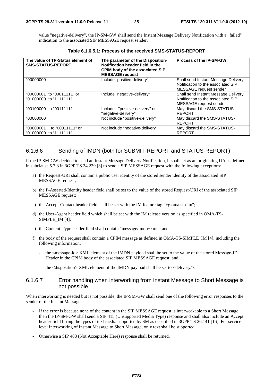value "negative-delivery", the IP-SM-GW shall send the Instant Message Delivery Notification with a "failed" indication to the associated SIP MESSAGE request sender.

| The value of TP-Status element of<br><b>SMS-STATUS-REPORT</b> | The parameter of the Disposition-<br>Notification header field in the<br><b>CPIM body of the associated SIP</b><br><b>MESSAGE request</b> | <b>Process of the IP-SM-GW</b>                                                                      |
|---------------------------------------------------------------|-------------------------------------------------------------------------------------------------------------------------------------------|-----------------------------------------------------------------------------------------------------|
| "00000000"                                                    | Include "positive-delivery"                                                                                                               | Shall send Instant Message Delivery<br>Notification to the associated SIP<br>MESSAGE request sender |
| "00000001" to "00011111" or<br>"01000000" to "11111111"       | Include "negative-delivery"                                                                                                               | Shall send Instant Message Delivery<br>Notification to the associated SIP<br>MESSAGE request sender |
| "00100000" to "00111111"                                      | Include "positive-delivery" or<br>"negative-delivery"                                                                                     | May discard the SMS-STATUS-<br><b>REPORT</b>                                                        |
| "00000000"                                                    | Not include "positive-delivery"                                                                                                           | May discard the SMS-STATUS-<br><b>REPORT</b>                                                        |
| "00000001" to "00011111" or<br>"01000000" to "11111111"       | Not include "negative-delivery"                                                                                                           | May discard the SMS-STATUS-<br><b>REPORT</b>                                                        |

**Table 6.1.6.5.1: Process of the received SMS-STATUS-REPORT** 

## 6.1.6.6 Sending of IMDN (both for SUBMIT-REPORT and STATUS-REPORT)

If the IP-SM-GW decided to send an Instant Message Delivery Notification, it shall act as an originating UA as defined in subclause 5.7.3 in 3GPP TS 24.229 [3] to send a SIP MESSAGE request with the following exceptions:

- a) the Request-URI shall contain a public user identity of the stored sender identity of the associated SIP MESSAGE request;
- b) the P-Asserted-Identity header field shall be set to the value of the stored Request-URI of the associated SIP MESSAGE request;
- c) the Accept-Contact header field shall be set with the IM feature tag "+g.oma.sip-im";
- d) the User-Agent header field which shall be set with the IM release version as specified in OMA-TS-SIMPLE\_IM [4];
- e) the Content-Type header field shall contain "message/imdn+xml"; and
- f) the body of the request shall contain a CPIM message as defined in OMA-TS-SIMPLE\_IM [4], including the following information:
	- the <message-id> XML element of the IMDN payload shall be set to the value of the stored Message-ID Header in the CPIM body of the associated SIP MESSAGE request; and
	- the <disposition> XML element of the IMDN payload shall be set to <delivery/>.

### 6.1.6.7 Error handling when interworking from Instant Message to Short Message is not possible

When interworking is needed but is not possible, the IP-SM-GW shall send one of the following error responses to the sender of the Instant Message:

- If the error is because none of the content in the SIP MESSAGE request is interworkable to a Short Message, then the IP-SM-GW shall send a SIP 415 (Unsupported Media Type) response and shall also include an Accept header field listing the types of text media supported by SM as described in 3GPP TS 26.141 [16]. For service level interworking of Instant Message to Short Message, only text shall be supported.
- Otherwise a SIP 488 (Not Acceptable Here) response shall be returned.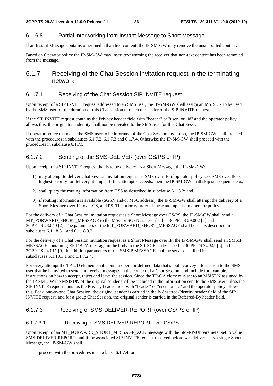## 6.1.6.8 Partial interworking from Instant Message to Short Message

If an Instant Message contains other media than text content, the IP-SM-GW may remove the unsupported content.

Based on Operator policy the IP-SM-GW may insert text warning the receiver that non-text content has been removed from the message.

## 6.1.7 Receiving of the Chat Session invitation request in the terminating network

### 6.1.7.1 Receiving of the Chat Session SIP INVITE request

Upon receipt of a SIP INVITE request addressed to an SMS user, the IP-SM-GW shall assign an MSISDN to be used by the SMS user for the duration of this Chat session to reach the sender of the SIP INVITE request.

If the SIP INVITE request contains the Privacy header field with "header" or "user" or "id" and the operator policy allows this, the originator's identity shall not be revealed to the SMS user for this Chat Session.

If operator policy mandates the SMS user to be informed of the Chat Session invitation, the IP-SM-GW shall proceed with the procedures in subclauses 6.1.7.2, 6.1.7.3 and 6.1.7.4. Otherwise the IP-SM-GW shall proceed with the procedures in subclause 6.1.7.5.

## 6.1.7.2 Sending of the SMS-DELIVER (over CS/PS or IP)

Upon receipt of a SIP INVITE request that is to be delivered as a Short Message, the IP-SM-GW:

- 1) may attempt to deliver Chat Session invitation request as SMS over IP, if operator policy sets SMS over IP as highest priority for delivery attempts. If this attempt succeeds, then the IP-SM-GW shall skip subsequent steps;
- 2) shall query the routing information from HSS as described in subclause 6.1.3.2; and
- 3) if routing information is available (SGSN and/or MSC address), the IP-SM-GW shall attempt the delivery of a Short Message over IP, over CS, and PS. The priority order of these attempts is an operator policy.

For the delivery of a Chat Session invitation request as a Short Message over CS/PS, the IP-SM-GW shall send a MT\_FORWARD\_SHORT\_MESSAGE to the MSC or SGSN as described in 3GPP TS 29.002 [7] and 3GPP TS 23.040 [2]. The parameters of the MT\_FORWARD\_SHORT\_MESSAGE shall be set as described in subclauses 6.1.18.3.1 and 6.1.18.3.2.

For the delivery of a Chat Session invitation request as a Short Message over IP, the IP-SM-GW shall send an SMSIP MESSAGE containing RP-DATA message in the body to the S-CSCF as described in 3GPP TS 24.341 [5] and 3GPP TS 24.011 [9]. In addition parameters of the SMSIP MESSAGE shall be set as described in subsclauses 6.1.18.3.1 and 6.1.7.2.4.

For every attempt the TP-UD element shall contain operator defined data that should convey information to the SMS user that he is invited to send and receive messages in the context of a Chat Session, and include for example, instructions on how to accept, reject and leave the session. Since the TP-OA element is set to an MSISDN assigned by the IP-SM-GW the MSISDN of the original sender shall be included in the information sent to the SMS user unless the SIP INVITE request contains the Privacy header field with "header" or "user" or "id" and the operator policy allows this. For a one-to-one Chat Session, the original sender is carried in the P-Asserted-Identity header field of the SIP INVITE request, and for a group Chat Session, the original sender is carried in the Referred-By header field.

## 6.1.7.3 Receiving of SMS-DELIVER-REPORT (over CS/PS or IP)

### 6.1.7.3.1 Receiving of SMS-DELIVER-REPORT over CS/PS

Upon receipt of an MT\_FORWARD\_SHORT\_MESSAGE\_ACK message with the SM-RP-UI parameter set to value SMS-DELIVER-REPORT, and if the associated SIP INVITE request received before was delivered as a single Short Message, the IP-SM-GW shall:

proceed with the procedures in subclause 6.1.7.4; or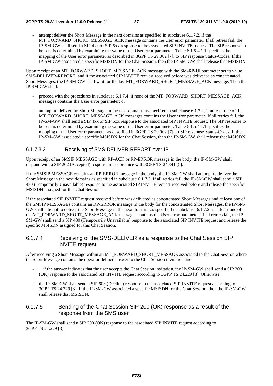attempt deliver the Short Message in the next domains as specified in subclause  $6.1.7.2$ , if the MT\_FORWARD\_SHORT\_MESSAGE\_ACK message contains the User error parameter. If all retries fail, the IP-SM-GW shall send a SIP 4xx or SIP 5xx response to the associated SIP INVITE request. The SIP response to be sent is determined by examining the value of the User error parameter. Table 6.1.5.4.1.1 specifies the mapping of the User error parameter as described in 3GPP TS 29.002 [7], to SIP response Status-Codes. If the IP-SM-GW associated a specific MSISDN for the Chat Session, then the IP-SM-GW shall release that MSISDN.

Upon receipt of an MT\_FORWARD\_SHORT\_MESSAGE\_ACK message with the SM-RP-UI parameter set to value SMS-DELIVER-REPORT, and if the associated SIP INVITE request received before was delivered as concatenated Short Messages, the IP-SM-GW shall wait for the last MT\_FORWARD\_SHORT\_MESSAGE\_ACK message. Then the IP-SM-GW shall:

- proceed with the procedures in subclause 6.1.7.4, if none of the MT\_FORWARD\_SHORT\_MESSAGE\_ACK messages contains the User error parameter; or
- attempt to deliver the Short Message in the next domains as specified in subclause 6.1.7.2, if at least one of the MT\_FORWARD\_SHORT\_MESSAGE\_ACK messages contains the User error parameter. If all retries fail, the IP-SM-GW shall send a SIP 4xx or SIP 5xx response to the associated SIP INVITE request. The SIP response to be sent is determined by examining the value of the User error parameter. Table 6.1.5.4.1.1 specifies the mapping of the User error parameter as described in 3GPP TS 29.002 [7], to SIP response Status-Codes. If the IP-SM-GW associated a specific MSISDN for the Chat Session, then the IP-SM-GW shall release that MSISDN.

### 6.1.7.3.2 Receiving of SMS-DELIVER-REPORT over IP

Upon receipt of an SMSIP MESSAGE with RP-ACK or RP-ERROR message in the body, the IP-SM-GW shall respond with a SIP 202 (Accepted) response in accordance with 3GPP TS 24.341 [5].

If the SMSIP MESSAGE contains an RP-ERROR message in the body, the IP-SM-GW shall attempt to deliver the Short Message in the next domains as specified in subclause 6.1.7.2. If all retries fail, the IP-SM-GW shall send a SIP 480 (Temporarily Unavailable) response to the associated SIP INVITE request received before and release the specific MSISDN assigned for this Chat Session.

If the associated SIP INVITE request received before was delivered as concatenated Short Messages and at least one of the SMSIP MESSAGEs contains an RP-ERROR message in the body for the concatenated Short Messages, the IP-SM-GW shall attempt to deliver the Short Message in the next domains as specified in subclause 6.1.7.2, if at least one of the MT\_FORWARD\_SHORT\_MESSAGE\_ACK messages contains the User error parameter. If all retries fail, the IP-SM-GW shall send a SIP 480 (Temporarily Unavailable) response to the associated SIP INVITE request and release the specific MSISDN assigned for this Chat Session.

## 6.1.7.4 Receiving of the SMS-DELIVER as a response to the Chat Session SIP INVITE request

After receiving a Short Message within an MT\_FORWARD\_SHORT\_MESSAGE associated to the Chat Session where the Short Message contains the operator defined answer to the Chat Session invitation and

- if the answer indicates that the user accepts the Chat Session invitation, the IP-SM-GW shall send a SIP 200 (OK) response to the associated SIP INVITE request according to 3GPP TS 24.229 [3]. Otherwise
- the IP-SM-GW shall send a SIP 603 (Decline) response to the associated SIP INVITE request according to 3GPP TS 24.229 [3]. If the IP-SM-GW associated a specific MSISDN for the Chat Session, then the IP-SM-GW shall release that MSISDN.

### 6.1.7.5 Sending of the Chat Session SIP 200 (OK) response as a result of the response from the SMS user

The IP-SM-GW shall send a SIP 200 (OK) response to the associated SIP INVITE request according to 3GPP TS 24.229 [3].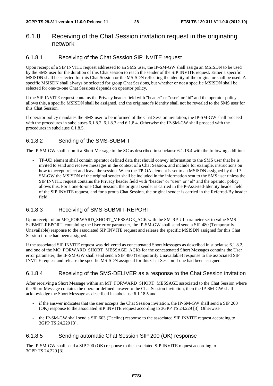## 6.1.8 Receiving of the Chat Session invitation request in the originating network

## 6.1.8.1 Receiving of the Chat Session SIP INVITE request

Upon receipt of a SIP INVITE request addressed to an SMS user, the IP-SM-GW shall assign an MSISDN to be used by the SMS user for the duration of this Chat session to reach the sender of the SIP INVITE request. Either a specific MSISDN shall be selected for this Chat Session or the MSISDN reflecting the identity of the originator shall be used. A specific MSISDN shall always be selected for group Chat Sessions, but whether or not a specific MSISDN shall be selected for one-to-one Chat Sessions depends on operator policy.

If the SIP INVITE request contains the Privacy header field with "header" or "user" or "id" and the operator policy allows this, a specific MSISDN shall be assigned, and the originator's identity shall not be revealed to the SMS user for this Chat Session.

If operator policy mandates the SMS user to be informed of the Chat Session invitation, the IP-SM-GW shall proceed with the procedures in subclauses 6.1.8.2, 6.1.8.3 and 6.1.8.4. Otherwise the IP-SM-GW shall proceed with the procedures in subclause 6.1.8.5.

## 6.1.8.2 Sending of the SMS-SUBMIT

The IP-SM-GW shall submit a Short Message to the SC as described in subclause 6.1.18.4 with the following addition:

- TP-UD element shall contain operator defined data that should convey information to the SMS user that he is invited to send and receive messages in the context of a Chat Session, and include for example, instructions on how to accept, reject and leave the session. When the TP-OA element is set to an MSISDN assigned by the IP-SM-GW the MSISDN of the original sender shall be included in the information sent to the SMS user unless the SIP INVITE request contains the Privacy header field with "header" or "user" or "id" and the operator policy allows this. For a one-to-one Chat Session, the original sender is carried in the P-Asserted-Identity header field of the SIP INVITE request, and for a group Chat Session, the original sender is carried in the Referred-By header field.

## 6.1.8.3 Receiving of SMS-SUBMIT-REPORT

Upon receipt of an MO\_FORWARD\_SHORT\_MESSAGE\_ACK with the SM-RP-UI parameter set to value SMS-SUBMIT-REPORT, containing the User error parameter, the IP-SM-GW shall send send a SIP 480 (Temporarily Unavailable) response to the associated SIP INVITE request and release the specific MSISDN assigned for this Chat Session if one had been assigned.

If the associated SIP INVITE request was delivered as concatenated Short Messages as described in subclause 6.1.8.2, and one of the MO\_FORWARD\_SHORT\_MESSAGE\_ACKs for the concatenated Short Messages contains the User error parameter, the IP-SM-GW shall send send a SIP 480 (Temporarily Unavailable) response to the associated SIP INVITE request and release the specific MSISDN assigned for this Chat Session if one had been assigned.

## 6.1.8.4 Receiving of the SMS-DELIVER as a response to the Chat Session invitation

After receiving a Short Message within an MT\_FORWARD\_SHORT\_MESSAGE associated to the Chat Session where the Short Message contains the operator defined answer to the Chat Session invitation, then the IP-SM-GW shall acknowledge the Short Message as described in subclause 6.1.18.5 and

- if the answer indicates that the user accepts the Chat Session invitation, the IP-SM-GW shall send a SIP 200 (OK) response to the associated SIP INVITE request according to 3GPP TS 24.229 [3]. Otherwise
- the IP-SM-GW shall send a SIP 603 (Decline) response to the associated SIP INVITE request according to 3GPP TS 24.229 [3].

## 6.1.8.5 Sending automatic Chat Session SIP 200 (OK) response

The IP-SM-GW shall send a SIP 200 (OK) response to the associated SIP INVITE request according to 3GPP TS 24.229 [3].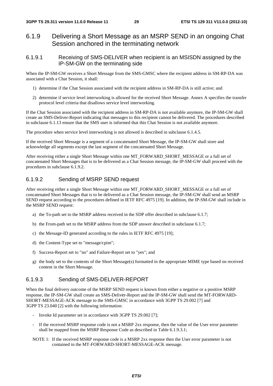## 6.1.9 Delivering a Short Message as an MSRP SEND in an ongoing Chat Session anchored in the terminating network

6.1.9.1 Receiving of SMS-DELIVER when recipient is an MSISDN assigned by the IP-SM-GW on the terminating side

When the IP-SM-GW receives a Short Message from the SMS-GMSC where the recipient address in SM-RP-DA was associated with a Chat Session, it shall:

- 1) determine if the Chat Session associated with the recipient address in SM-RP-DA is still active; and
- 2) determine if service level interworking is allowed for the received Short Message. Annex A specifies the transfer protocol level criteria that disallows service level interworking.

If the Chat Session associated with the recipient address in SM-RP-DA is not available anymore, the IP-SM-GW shall create an SMS-Deliver-Report indicating that messages to this recipient cannot be delivered. The procedures described in subclause 6.1.13 ensure that the SMS user is informed that this Chat Session is not available anymore.

The procedure when service level interworking is not allowed is described in subclause 6.1.4.5.

If the received Short Message is a segment of a concatenated Short Message, the IP-SM-GW shall store and acknowledge all segments except the last segment of the concatenated Short Message.

After receiving either a single Short Message within one MT\_FORWARD\_SHORT\_MESSAGE or a full set of concatenated Short Messages that is to be delivered as a Chat Session message, the IP-SM-GW shall proceed with the procedures in subclause 6.1.9.2.

## 6.1.9.2 Sending of MSRP SEND request

After receiving either a single Short Message within one MT\_FORWARD\_SHORT\_MESSAGE or a full set of concatenated Short Messages that is to be delivered as a Chat Session message, the IP-SM-GW shall send an MSRP SEND request according to the procedures defined in IETF RFC 4975 [19]. In addition, the IP-SM-GW shall include in the MSRP SEND request:

- a) the To-path set to the MSRP address received in the SDP offer described in subclause 6.1.7;
- b) the From-path set to the MSRP address from the SDP answer described in subclause 6.1.7;
- c) the Message-ID generated according to the rules in IETF RFC 4975 [19];
- d) the Content-Type set to "message/cpim";
- f) Success-Report set to "no" and Failure-Report set to "yes"; and
- g) the body set to the contents of the Short Message(s) formatted in the appropriate MIME type based on received content in the Short Message.

### 6.1.9.3 Sending of SMS-DELIVER-REPORT

When the final delivery outcome of the MSRP SEND request is known from either a negative or a positive MSRP response, the IP-SM-GW shall create an SMS-Deliver-Report and the IP-SM-GW shall send the MT-FORWARD-SHORT-MESSAGE-ACK message to the SMS-GMSC in accordance with 3GPP TS 29.002 [7] and 3GPP TS 23.040 [2] with the following information:

- Invoke Id parameter set in accordance with 3GPP TS 29.002 [7];
- If the received MSRP response code is not a MSRP 2xx response, then the value of the User error parameter shall be mapped from the MSRP Response Code as described in Table 6.1.9.3.1;

#### NOTE 1: If the received MSRP response code is a MSRP 2xx response then the User error parameter is not contained in the MT-FORWARD-SHORT-MESSAGE-ACK message.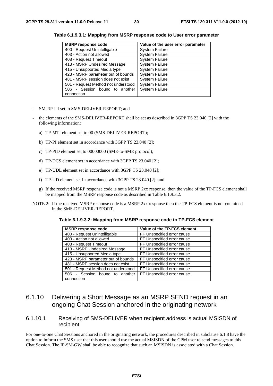| <b>MSRP response code</b>           | Value of the user error parameter |
|-------------------------------------|-----------------------------------|
| 400 - Request Unintelligable        | <b>System Failure</b>             |
| 403 - Action not allowed            | <b>System Failure</b>             |
| 408 - Request Timeout               | <b>System Failure</b>             |
| 413 - MSRP Undesired Message        | <b>System Failure</b>             |
| 415 - Unsupported Media type        | <b>System Failure</b>             |
| 423 - MSRP parameter out of bounds  | <b>System Failure</b>             |
| 481 - MSRP session does not exist   | <b>System Failure</b>             |
| 501 - Request Method not understood | <b>System Failure</b>             |
| 506 - Session bound to another      | <b>System Failure</b>             |
| connection                          |                                   |

**Table 6.1.9.3.1: Mapping from MSRP response code to User error parameter** 

- SM-RP-UI set to SMS-DELIVER-REPORT; and
- the elements of the SMS-DELIVER-REPORT shall be set as described in 3GPP TS 23.040 [2] with the following information:
	- a) TP-MTI element set to 00 (SMS-DELIVER-REPORT);
	- b) TP-PI element set in accordance with 3GPP TS 23.040 [2];
	- c) TP-PID element set to 00000000 (SME-to-SME protocol);
	- d) TP-DCS element set in accordance with 3GPP TS 23.040 [2];
	- e) TP-UDL element set in accordance with 3GPP TS 23.040 [2];
	- f) TP-UD element set in accordance with 3GPP TS 23.040 [2]; and
	- g) If the received MSRP response code is not a MSRP 2xx response, then the value of the TP-FCS element shall be mapped from the MSRP response code as described in Table 6.1.9.3.2.
- NOTE 2: If the received MSRP response code is a MSRP 2xx response then the TP-FCS element is not contained in the SMS-DELIVER-REPORT.

| <b>MSRP response code</b>           | Value of the TP-FCS element |
|-------------------------------------|-----------------------------|
| 400 - Request Unintelligable        | FF Unspecified error cause  |
| 403 - Action not allowed            | FF Unspecified error cause  |
| 408 - Request Timeout               | FF Unspecified error cause  |
| 413 - MSRP Undesired Message        | FF Unspecified error cause  |
| 415 - Unsupported Media type        | FF Unspecified error cause  |
| 423 - MSRP parameter out of bounds  | FF Unspecified error cause  |
| 481 - MSRP session does not exist   | FF Unspecified error cause  |
| 501 - Request Method not understood | FF Unspecified error cause  |
| - Session bound to another<br>506   | FF Unspecified error cause  |
| connection                          |                             |

6.1.10 Delivering a Short Message as an MSRP SEND request in an ongoing Chat Session anchored in the originating network

## 6.1.10.1 Receiving of SMS-DELIVER when recipient address is actual MSISDN of recipient

For one-to-one Chat Sessions anchored in the originating network, the procedures described in subclause 6.1.8 have the option to inform the SMS user that this user should use the actual MSISDN of the CPM user to send messages to this Chat Session. The IP-SM-GW shall be able to recognize that such an MSISDN is associated with a Chat Session.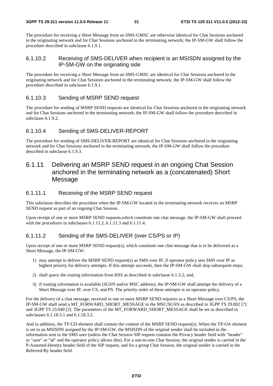The procedure for receiving a Short Message from an SMS-GMSC are otherwise identical for Chat Sessions anchored in the originating network and for Chat Sessions anchored in the terminating network; the IP-SM-GW shall follow the procedure described in subclause 6.1.9.1.

## 6.1.10.2 Receiving of SMS-DELIVER when recipient is an MSISDN assigned by the IP-SM-GW on the originating side

The procedure for receiving a Short Message from an SMS-GMSC are identical for Chat Sessions anchored in the originating network and for Chat Sessions anchored in the terminating network; the IP-SM-GW shall follow the procedure described in subclause 6.1.9.1.

## 6.1.10.3 Sending of MSRP SEND request

The procedure for sending of MSRP SEND requests are identical for Chat Sessions anchored in the originating network and for Chat Sessions anchored in the terminating network; the IP-SM-GW shall follow the procedure described in subclause 6.1.9.2.

## 6.1.10.4 Sending of SMS-DELIVER-REPORT

The procedure for sending of SMS-DELIVER-REPORT are identical for Chat Sessions anchored in the originating network and for Chat Sessions anchored in the terminating network; the IP-SM-GW shall follow the procedure described in subclause 6.1.9.3.

## 6.1.11 Delivering an MSRP SEND request in an ongoing Chat Session anchored in the terminating network as a (concatenated) Short Message

## 6.1.11.1 Receiving of the MSRP SEND request

This subclause describes the procedure when the IP-SM-GW located in the terminating network receives an MSRP SEND request as part of an ongoing Chat Session.

Upon receipt of one or more MSRP SEND requests,which constitute one chat message, the IP-SM-GW shall proceed with the procedures in subclauses 6.1.11.2, 6.1.11.3 and 6.1.11.4.

## 6.1.11.2 Sending of the SMS-DELIVER (over CS/PS or IP)

Upon receipt of one or more MSRP SEND request(s), which constitute one chat message that is to be delivered as a Short Message, the IP-SM-GW:

- 1) may attempt to deliver the MSRP SEND request(s) as SMS over IP, if operator policy sets SMS over IP as highest priority for delivery attempts. If this attempt succeeds, then the IP-SM-GW shall skip subsequent steps;
- 2) shall query the routing information from HSS as described in subclause 6.1.3.2; and,
- 3) if routing information is available (SGSN and/or MSC address), the IP-SM-GW shall attempt the delivery of a Short Message over IP, over CS, and PS. The priority order of these attempts is an operator policy.

For the delivery of a chat message, received in one or more MSRP SEND requests as a Short Message over CS/PS, the IP-SM-GW shall send a MT\_FORWARD\_SHORT\_MESSAGE to the MSC/SGSN as described in 3GPP TS 29.002 [7] and 3GPP TS 23.040 [2]. The parameters of the MT\_FORWARD\_SHORT\_MESSAGE shall be set as described in subclauses 6.1.18.3.1 and 6.1.18.3.2.

And in addition, the TP-UD element shall contain the content of the MSRP SEND request(s). When the TP-OA element is set to an MSISDN assigned by the IP-SM-GW, the MSISDN of the original sender shall be included in the information sent to the SMS user (unless the Chat Session SIP request contains the Privacy header field with "header" or "user" or "id" and the operator policy allows this). For a one-to-one Chat Session, the original sender is carried in the P-Asserted-Identity header field of the SIP request, and for a group Chat Session, the original sender is carried in the Referred-By header field.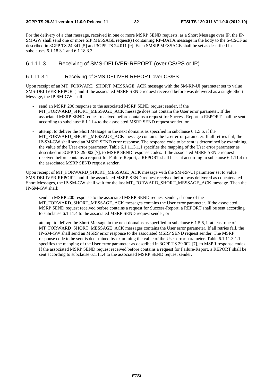#### **3GPP TS 29.311 version 11.0.0 Release 11 32 ETSI TS 129 311 V11.0.0 (2012-10)**

For the delivery of a chat message, received in one or more MSRP SEND requests, as a Short Message over IP, the IP-SM-GW shall send one or more SIP MESSAGE request(s) containing RP-DATA message in the body to the S-CSCF as described in 3GPP TS 24.341 [5] and 3GPP TS 24.011 [9]. Each SMSIP MESSAGE shall be set as described in subclauses 6.1.18.3.1 and 6.1.18.3.3.

## 6.1.11.3 Receiving of SMS-DELIVER-REPORT (over CS/PS or IP)

#### 6.1.11.3.1 Receiving of SMS-DELIVER-REPORT over CS/PS

Upon receipt of an MT\_FORWARD\_SHORT\_MESSAGE\_ACK message with the SM-RP-UI parameter set to value SMS-DELIVER-REPORT, and if the associated MSRP SEND request received before was delivered as a single Short Message, the IP-SM-GW shall:

- send an MSRP 200 response to the associated MSRP SEND request sender, if the MT\_FORWARD\_SHORT\_MESSAGE\_ACK message does not contain the User error parameter. If the associated MSRP SEND request received before contains a request for Success-Report, a REPORT shall be sent according to subclause 6.1.11.4 to the associated MSRP SEND request sender; or
- attempt to deliver the Short Message in the next domains as specified in subclause 6.1.5.6, if the MT\_FORWARD\_SHORT\_MESSAGE\_ACK message contains the User error parameter. If all retries fail, the IP-SM-GW shall send an MSRP SEND error response. The response code to be sent is determined by examining the value of the User error parameter. Table 6.1.11.3.1.1 specifies the mapping of the User error parameter as described in 3GPP TS 29.002 [7], to MSRP SEND response codes. If the associated MSRP SEND request received before contains a request for Failure-Report, a REPORT shall be sent according to subclause 6.1.11.4 to the associated MSRP SEND request sender.

Upon receipt of MT\_FORWARD\_SHORT\_MESSAGE\_ACK message with the SM-RP-UI parameter set to value SMS-DELIVER-REPORT, and if the associated MSRP SEND request received before was delivered as concatenated Short Messages, the IP-SM-GW shall wait for the last MT\_FORWARD\_SHORT\_MESSAGE\_ACK message. Then the IP-SM-GW shall:

- send an MSRP 200 response to the associated MSRP SEND request sender, if none of the MT\_FORWARD\_SHORT\_MESSAGE\_ACK messages contains the User error parameter. If the associated MSRP SEND request received before contains a request for Success-Report, a REPORT shall be sent according to subclause 6.1.11.4 to the associated MSRP SEND request sender; or
- attempt to deliver the Short Message in the next domains as specified in subclause 6.1.5.6, if at least one of MT\_FORWARD\_SHORT\_MESSAGE\_ACK messages contains the User error parameter. If all retries fail, the IP-SM-GW shall send an MSRP error response to the associated MSRP SEND request sender. The MSRP response code to be sent is determined by examining the value of the User error parameter. Table 6.1.11.3.1.1 specifies the mapping of the User error parameter as described in 3GPP TS 29.002 [7], to MSPR response codes. If the associated MSRP SEND request received before contains a request for Failure-Report, a REPORT shall be sent according to subclause 6.1.11.4 to the associated MSRP SEND request sender.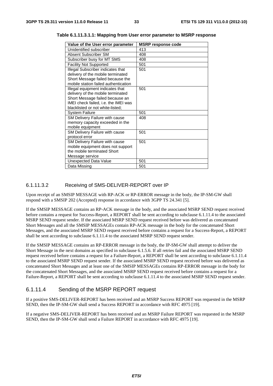| Value of the User error parameter    | <b>MSRP response code</b> |
|--------------------------------------|---------------------------|
| Unidentified subscriber              | 413                       |
| Absent Subscriber SM                 | 408                       |
| Subscriber busy for MT SMS           | 408                       |
| <b>Facility Not Supported</b>        | 501                       |
| Illegal Subscriber indicates that    | 501                       |
| delivery of the mobile terminated    |                           |
| Short Message failed because the     |                           |
| mobile station failed authentication |                           |
| Illegal equipment indicates that     | 501                       |
| delivery of the mobile terminated    |                           |
| Short Message failed because an      |                           |
| IMEI check failed, i.e. the IMEI was |                           |
| blacklisted or not white-listed;     |                           |
| <b>System Failure</b>                | 501                       |
| SM Delivery Failure with cause       | 408                       |
| memory capacity exceeded in the      |                           |
| mobile equipment                     |                           |
| SM Delivery Failure with cause       | 501                       |
| protocol error                       |                           |
| SM Delivery Failure with cause       | 501                       |
| mobile equipment does not support    |                           |
| the mobile terminated Short          |                           |
| Message service                      |                           |
| Unexpected Data Value                | 501                       |
| Data Missing                         | 501                       |

**Table 6.1.11.3.1.1: Mapping from User error parameter to MSRP response** 

#### 6.1.11.3.2 Receiving of SMS-DELIVER-REPORT over IP

Upon receipt of an SMSIP MESSAGE with RP-ACK or RP-ERROR message in the body, the IP-SM-GW shall respond with a SMSIP 202 (Accepted) response in accordance with 3GPP TS 24.341 [5].

If the SMSIP MESSAGE contains an RP-ACK message in the body, and the associated MSRP SEND request received before contains a request for Success-Report, a REPORT shall be sent according to subclause 6.1.11.4 to the associated MSRP SEND request sender. If the associated MSRP SEND request received before was delivered as concatenated Short Messages and all the SMSIP MESSAGEs contain RP-ACK message in the body for the concatenated Short Messages, and the associated MSRP SEND request received before contains a request for a Success-Report, a REPORT shall be sent according to subclause 6.1.11.4 to the associated MSRP SEND request sender.

If the SMSIP MESSAGE contains an RP-ERROR message in the body, the IP-SM-GW shall attempt to deliver the Short Message in the next domains as specified in subclause 6.1.5.6. If all retries fail and the associated MSRP SEND request received before contains a request for a Failure-Report, a REPORT shall be sent according to subclause 6.1.11.4 to the associated MSRP SEND request sender. If the associated MSRP SEND request received before was delivered as concatenated Short Messages and at least one of the SMSIP MESSAGEs contains RP-ERROR message in the body for the concatenated Short Messages, and the associated MSRP SEND request received before contains a request for a Failure-Report, a REPORT shall be sent according to subclause 6.1.11.4 to the associated MSRP SEND request sender.

## 6.1.11.4 Sending of the MSRP REPORT request

If a positive SMS-DELIVER-REPORT has been received and an MSRP Success REPORT was requested in the MSRP SEND, then the IP-SM-GW shall send a Success REPORT in accordance with RFC 4975 [19].

If a negative SMS-DELIVER-REPORT has been received and an MSRP Failure REPORT was requested in the MSRP SEND, then the IP-SM-GW shall send a Failure REPORT in accordance with RFC 4975 [19].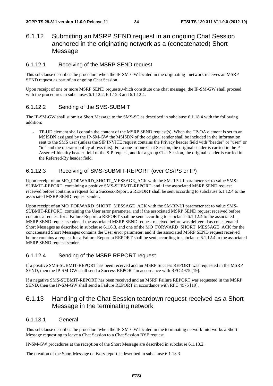## 6.1.12 Submitting an MSRP SEND request in an ongoing Chat Session anchored in the originating network as a (concatenated) Short Message

## 6.1.12.1 Receiving of the MSRP SEND request

This subclause describes the procedure when the IP-SM-GW located in the originating network receives an MSRP SEND request as part of an ongoing Chat Session.

Upon receipt of one or more MSRP SEND requests,which constitute one chat message, the IP-SM-GW shall proceed with the procedures in subclauses 6.1.12.2, 6.1.12.3 and 6.1.12.4.

## 6.1.12.2 Sending of the SMS-SUBMIT

The IP-SM-GW shall submit a Short Message to the SMS-SC as described in subclause 6.1.18.4 with the following addition:

TP-UD element shall contain the content of the MSRP SEND request(s). When the TP-OA element is set to an MSISDN assigned by the IP-SM-GW the MSISDN of the original sender shall be included in the information sent to the SMS user (unless the SIP INVITE request contains the Privacy header field with "header" or "user" or "id" and the operator policy allows this). For a one-to-one Chat Session, the original sender is carried in the P-Asserted-Identity header field of the SIP request, and for a group Chat Session, the original sender is carried in the Referred-By header field.

### 6.1.12.3 Receiving of SMS-SUBMIT-REPORT (over CS/PS or IP)

Upon receipt of an MO\_FORWARD\_SHORT\_MESSAGE\_ACK with the SM-RP-UI parameter set to value SMS-SUBMIT-REPORT, containing a positive SMS-SUBMIT-REPORT, and if the associated MSRP SEND request received before contains a request for a Success-Report, a REPORT shall be sent according to subclause 6.1.12.4 to the associated MSRP SEND request sender.

Upon receipt of an MO\_FORWARD\_SHORT\_MESSAGE\_ACK with the SM-RP-UI parameter set to value SMS-SUBMIT-REPORT, containing the User error parameter, and if the associated MSRP SEND request received before contains a request for a Failure-Report, a REPORT shall be sent according to subclause 6.1.12.4 to the associated MSRP SEND request sender. If the associated MSRP SEND request received before was delivered as concatenated Short Messages as described in subclause 6.1.6.3, and one of the MO\_FORWARD\_SHORT\_MESSAGE\_ACK for the concatenated Short Messages contains the User error parameter, and if the associated MSRP SEND request received before contains a request for a Failure-Report, a REPORT shall be sent according to subclause 6.1.12.4 to the associated MSRP SEND request sender.

## 6.1.12.4 Sending of the MSRP REPORT request

If a positive SMS-SUBMIT-REPORT has been received and an MSRP Success REPORT was requested in the MSRP SEND, then the IP-SM-GW shall send a Success REPORT in accordance with RFC 4975 [19].

If a negative SMS-SUBMIT-REPORT has been received and an MSRP Failure REPORT was requested in the MSRP SEND, then the IP-SM-GW shall send a Failure REPORT in accordance with RFC 4975 [19].

## 6.1.13 Handling of the Chat Session teardown request received as a Short Message in the terminating network

### 6.1.13.1 General

This subclause describes the procedure when the IP-SM-GW located in the terminating network interworks a Short Message requesting to leave a Chat Session to a Chat Session BYE request.

IP-SM-GW procedures at the reception of the Short Message are described in subclause 6.1.13.2.

The creation of the Short Message delivery report is described in subclause 6.1.13.3.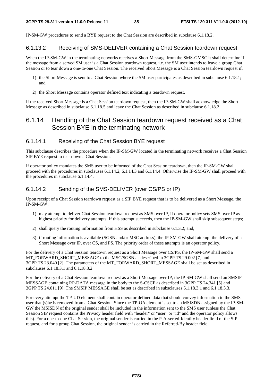IP-SM-GW procedures to send a BYE request to the Chat Session are described in subclause 6.1.18.2.

## 6.1.13.2 Receiving of SMS-DELIVER containing a Chat Session teardown request

When the IP-SM-GW in the terminating networks receives a Short Message from the SMS-GMSC it shall determine if the message from a served SM user is a Chat Session teardown request, i.e. the SM user intends to leave a group Chat Session or to tear down a one-to-one Chat Session. The received Short Message is a Chat Session teardown request if:

- 1) the Short Message is sent to a Chat Session where the SM user participates as described in subclause 6.1.18.1; and
- 2) the Short Message contains operator defined text indicating a teardown request.

If the received Short Message is a Chat Session teardown request, then the IP-SM-GW shall acknowledge the Short Message as described in subclause 6.1.18.5 and leave the Chat Session as described in subclause 6.1.18.2.

## 6.1.14 Handling of the Chat Session teardown request received as a Chat Session BYE in the terminating network

#### 6.1.14.1 Receiving of the Chat Session BYE request

This subclause describes the procedure when the IP-SM-GW located in the terminating network receives a Chat Session SIP BYE request to tear down a Chat Session.

If operator policy mandates the SMS user to be informed of the Chat Session teardown, then the IP-SM-GW shall proceed with the procedures in subclauses 6.1.14.2, 6.1.14.3 and 6.1.14.4. Otherwise the IP-SM-GW shall proceed with the procedures in subclause 6.1.14.4.

## 6.1.14.2 Sending of the SMS-DELIVER (over CS/PS or IP)

Upon receipt of a Chat Session teardown request as a SIP BYE request that is to be delivered as a Short Message, the IP-SM-GW:

- 1) may attempt to deliver Chat Session teardown request as SMS over IP, if operator policy sets SMS over IP as highest priority for delivery attempts. If this attempt succeeds, then the IP-SM-GW shall skip subsequent steps;
- 2) shall query the routing information from HSS as described in subclause 6.1.3.2; and,
- 3) if routing information is available (SGSN and/or MSC address), the IP-SM-GW shall attempt the delivery of a Short Message over IP, over CS, and PS. The priority order of these attempts is an operator policy.

For the delivery of a Chat Session teardown request as a Short Message over CS/PS, the IP-SM-GW shall send a MT\_FORWARD\_SHORT\_MESSAGE to the MSC/SGSN as described in 3GPP TS 29.002 [7] and 3GPP TS 23.040 [2]. The parameters of the MT\_FORWARD\_SHORT\_MESSAGE shall be set as described in subclauses 6.1.18.3.1 and 6.1.18.3.2.

For the delivery of a Chat Session teardown request as a Short Message over IP, the IP-SM-GW shall send an SMSIP MESSAGE containing RP-DATA message in the body to the S-CSCF as described in 3GPP TS 24.341 [5] and 3GPP TS 24.011 [9]. The SMSIP MESSAGE shall be set as described in subsclauses 6.1.18.3.1 and 6.1.18.3.3.

For every attempt the TP-UD element shall contain operator defined data that should convey information to the SMS user that (s)he is removed from a Chat Session. Since the TP-OA element is set to an MSISDN assigned by the IP-SM-GW the MSISDN of the original sender shall be included in the information sent to the SMS user (unless the Chat Session SIP request contains the Privacy header field with "header" or "user" or "id" and the operator policy allows this). For a one-to-one Chat Session, the original sender is carried in the P-Asserted-Identity header field of the SIP request, and for a group Chat Session, the original sender is carried in the Referred-By header field.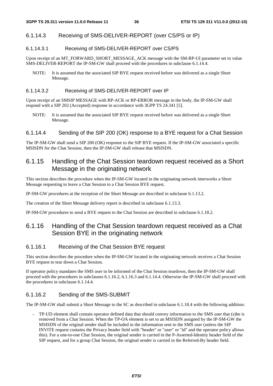## 6.1.14.3 Receiving of SMS-DELIVER-REPORT (over CS/PS or IP)

### 6.1.14.3.1 Receiving of SMS-DELIVER-REPORT over CS/PS

Upon receipt of an MT\_FORWARD\_SHORT\_MESSAGE\_ACK message with the SM-RP-UI parameter set to value SMS-DELIVER-REPORT the IP-SM-GW shall proceed with the procedures in subclause 6.1.14.4.

NOTE: It is assumed that the associated SIP BYE request received before was delivered as a single Short Message.

#### 6.1.14.3.2 Receiving of SMS-DELIVER-REPORT over IP

Upon receipt of an SMSIP MESSAGE with RP-ACK or RP-ERROR message in the body, the IP-SM-GW shall respond with a SIP 202 (Accepted) response in accordance with 3GPP TS 24.341 [5].

NOTE: It is assumed that the associated SIP BYE request received before was delivered as a single Short Message.

### 6.1.14.4 Sending of the SIP 200 (OK) response to a BYE request for a Chat Session

The IP-SM-GW shall send a SIP 200 (OK) response to the SIP BYE request. If the IP-SM-GW associated a specific MSISDN for the Chat Session, then the IP-SM-GW shall release that MSISDN.

## 6.1.15 Handling of the Chat Session teardown request received as a Short Message in the originating network

This section describes the procedure when the IP-SM-GW located in the originating network interworks a Short Message requesting to leave a Chat Session to a Chat Session BYE request.

IP-SM-GW procedures at the reception of the Short Message are described in subclause 6.1.13.2.

The creation of the Short Message delivery report is described in subclause 6.1.13.3.

IP-SM-GW procedures to send a BYE request to the Chat Session are described in subclause 6.1.18.2.

## 6.1.16 Handling of the Chat Session teardown request received as a Chat Session BYE in the originating network

### 6.1.16.1 Receiving of the Chat Session BYE request

This section describes the procedure when the IP-SM-GW located in the originating network receives a Chat Session BYE request to tear down a Chat Session.

If operator policy mandates the SMS user to be informed of the Chat Session teardown, then the IP-SM-GW shall proceed with the procedures in subclauses 6.1.16.2, 6.1.16.3 and 6.1.14.4. Otherwise the IP-SM-GW shall proceed with the procedures in subclause 6.1.14.4.

## 6.1.16.2 Sending of the SMS-SUBMIT

The IP-SM-GW shall submit a Short Message to the SC as described in subclause 6.1.18.4 with the following addition:

- TP-UD element shall contain operator defined data that should convey information to the SMS user that (s)he is removed from a Chat Session. When the TP-OA element is set to an MSISDN assigned by the IP-SM-GW the MSISDN of the original sender shall be included in the information sent to the SMS user (unless the SIP INVITE request contains the Privacy header field with "header" or "user" or "id" and the operator policy allows this). For a one-to-one Chat Session, the original sender is carried in the P-Asserted-Identity header field of the SIP request, and for a group Chat Session, the original sender is carried in the Referred-By header field.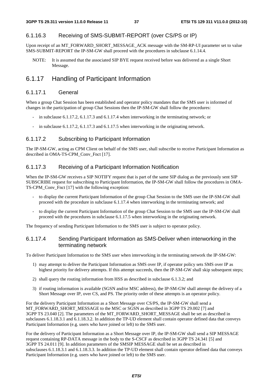## 6.1.16.3 Receiving of SMS-SUBMIT-REPORT (over CS/PS or IP)

Upon receipt of an MT\_FORWARD\_SHORT\_MESSAGE\_ACK message with the SM-RP-UI parameter set to value SMS-SUBMIT-REPORT the IP-SM-GW shall proceed with the procedures in subclause 6.1.14.4.

NOTE: It is assumed that the associated SIP BYE request received before was delivered as a single Short Message.

## 6.1.17 Handling of Participant Information

### 6.1.17.1 General

When a group Chat Session has been established and operator policy mandates that the SMS user is informed of changes in the participation of group Chat Sessions then the IP-SM-GW shall follow the procedures:

- in subclause 6.1.17.2, 6.1.17.3 and 6.1.17.4 when interworking in the terminating network; or
- in subclause  $6.1.17.2$ ,  $6.1.17.3$  and  $6.1.17.5$  when interworking in the originating network.

## 6.1.17.2 Subscribing to Participant Information

The IP-SM-GW, acting as CPM Client on behalf of the SMS user, shall subscribe to receive Participant Information as described in OMA-TS-CPM\_Conv\_Fnct [17].

## 6.1.17.3 Receiving of a Participant Information Notification

When the IP-SM-GW receives a SIP NOTIFY request that is part of the same SIP dialog as the previously sent SIP SUBSCRIBE request for subscribing to Participant Information, the IP-SM-GW shall follow the procedures in OMA-TS-CPM\_Conv\_Fnct [17] with the following exception:

- to display the current Participant Information of the group Chat Session to the SMS user the IP-SM-GW shall proceed with the procedure in subclause 6.1.17.4 when interworking in the terminating network; and
- to display the current Participant Information of the group Chat Session to the SMS user the IP-SM-GW shall proceed with the procedures in subclause 6.1.17.5 when interworking in the originating network.

The frequency of sending Participant Information to the SMS user is subject to operator policy.

## 6.1.17.4 Sending Participant Information as SMS-Deliver when interworking in the terminating network

To deliver Participant Information to the SMS user when interworking in the terminating network the IP-SM-GW:

- 1) may attempt to deliver the Participant Information as SMS over IP, if operator policy sets SMS over IP as highest priority for delivery attempts. If this attempt succeeds, then the IP-SM-GW shall skip subsequent steps;
- 2) shall query the routing information from HSS as described in subclause 6.1.3.2; and
- 3) if routing information is available (SGSN and/or MSC address), the IP-SM-GW shall attempt the delivery of a Short Message over IP, over CS, and PS. The priority order of these attempts is an operator policy.

For the delivery Participant Information as a Short Message over CS/PS, the IP-SM-GW shall send a MT\_FORWARD\_SHORT\_MESSAGE to the MSC or SGSN as described in 3GPP TS 29.002 [7] and 3GPP TS 23.040 [2]. The parameters of the MT\_FORWARD\_SHORT\_MESSAGE shall be set as described in subclauses 6.1.18.3.1 and 6.1.18.3.2. In addition the TP-UD element shall contain operator defined data that conveys Participant Information (e.g. users who have joined or left) to the SMS user.

For the delivery of Participant Information as a Short Message over IP, the IP-SM-GW shall send a SIP MESSAGE request containing RP-DATA message in the body to the S-CSCF as described in 3GPP TS 24.341 [5] and 3GPP TS 24.011 [9]. In addition parameters of the SMSIP MESSAGE shall be set as described in subsclauses 6.1.18.3.1 and 6.1.18.3.3. In addition the TP-UD element shall contain operator defined data that conveys Participant Information (e.g. users who have joined or left) to the SMS user.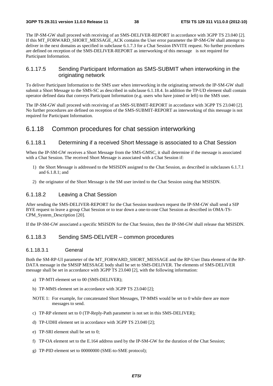The IP-SM-GW shall proceed with receiving of an SMS-DELIVER-REPORT in accordance with 3GPP TS 23.040 [2]. If this MT\_FORWARD\_SHORT\_MESSAGE\_ACK contains the User error parameter the IP-SM-GW shall attempt to deliver in the next domains as specified in subclause 6.1.7.3 for a Chat Session INVITE request. No further procedures are defined on reception of the SMS-DELIVER-REPORT as interworking of this message is not required for Participant Information.

### 6.1.17.5 Sending Participant Information as SMS-SUBMIT when interworking in the originating network

To deliver Participant Information to the SMS user when interworking in the originating network the IP-SM-GW shall submit a Short Message to the SMS-SC as described in subclause 6.1.18.4. In addition the TP-UD element shall contain operator defined data that conveys Participant Information (e.g. users who have joined or left) to the SMS user.

The IP-SM-GW shall proceed with receiving of an SMS-SUBMIT-REPORT in accordance with 3GPP TS 23.040 [2]. No further procedures are defined on reception of the SMS-SUBMIT-REPORT as interworking of this message is not required for Participant Information.

## 6.1.18 Common procedures for chat session interworking

#### 6.1.18.1 Determining if a received Short Message is associated to a Chat Session

When the IP-SM-GW receives a Short Message from the SMS-GMSC, it shall determine if the message is associated with a Chat Session. The received Short Message is associated with a Chat Session if:

- 1) the Short Message is addressed to the MSISDN assigned to the Chat Session, as described in subclauses 6.1.7.1 and 6.1.8.1; and
- 2) the originator of the Short Message is the SM user invited to the Chat Session using that MSISDN.

### 6.1.18.2 Leaving a Chat Session

After sending the SMS-DELIVER-REPORT for the Chat Session teardown request the IP-SM-GW shall send a SIP BYE request to leave a group Chat Session or to tear down a one-to-one Chat Session as described in OMA-TS-CPM\_System\_Description [20].

If the IP-SM-GW associated a specific MSISDN for the Chat Session, then the IP-SM-GW shall release that MSISDN.

#### 6.1.18.3 Sending SMS-DELIVER – common procedures

#### 6.1.18.3.1 General

Both the SM-RP-UI parameter of the MT\_FORWARD\_SHORT\_MESSAGE and the RP-User Data element of the RP-DATA message in the SMSIP MESSAGE body shall be set to SMS-DELIVER. The elements of SMS-DELIVER message shall be set in accordance with 3GPP TS 23.040 [2], with the following information:

- a) TP-MTI element set to 00 (SMS-DELIVER);
- b) TP-MMS element set in accordance with 3GPP TS 23.040 [2];
- NOTE 1: For example, for concatenated Short Messages, TP-MMS would be set to 0 while there are more messages to send.
- c) TP-RP element set to 0 (TP-Reply-Path parameter is not set in this SMS-DELIVER);
- d) TP-UDHI element set in accordance with 3GPP TS 23.040 [2];
- e) TP-SRI element shall be set to 0;
- f) TP-OA element set to the E.164 address used by the IP-SM-GW for the duration of the Chat Session;
- g) TP-PID element set to 00000000 (SME-to-SME protocol);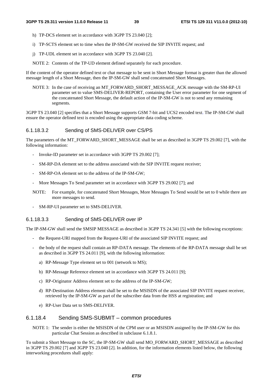- h) TP-DCS element set in accordance with 3GPP TS 23.040 [2];
- i) TP-SCTS element set to time when the IP-SM-GW received the SIP INVITE request; and
- j) TP-UDL element set in accordance with 3GPP TS 23.040 [2].
- NOTE 2: Contents of the TP-UD element defined separately for each procedure.

If the content of the operator defined text or chat message to be sent in Short Message format is greater than the allowed message length of a Short Message, then the IP-SM-GW shall send concatenated Short Messages.

NOTE 3: In the case of receiving an MT\_FORWARD\_SHORT\_MESSAGE\_ACK message with the SM-RP-UI parameter set to value SMS-DELIVER-REPORT, containing the User error parameter for one segment of the concatenated Short Message, the default action of the IP-SM-GW is not to send any remaining segments.

3GPP TS 23.040 [2] specifies that a Short Message supports GSM 7-bit and UCS2 encoded text. The IP-SM-GW shall ensure the operator defined text is encoded using the appropriate data coding scheme.

#### 6.1.18.3.2 Sending of SMS-DELIVER over CS/PS

The parameters of the MT\_FORWARD\_SHORT\_MESSAGE shall be set as described in 3GPP TS 29.002 [7], with the following information:

- Invoke-ID parameter set in accordance with 3GPP TS 29.002 [7];
- SM-RP-DA element set to the address associated with the SIP INVITE request receiver;
- SM-RP-OA element set to the address of the IP-SM-GW;
- More Messages To Send parameter set in accordance with 3GPP TS 29.002 [7]; and
- NOTE: For example, for concatenated Short Messages, More Messages To Send would be set to 0 while there are more messages to send.
- SM-RP-UI parameter set to SMS-DELIVER.

#### 6.1.18.3.3 Sending of SMS-DELIVER over IP

The IP-SM-GW shall send the SMSIP MESSAGE as described in 3GPP TS 24.341 [5] with the following exceptions:

- the Request-URI mapped from the Request-URI of the associated SIP INVITE request; and
- the body of the request shall contain an RP-DATA message. The elements of the RP-DATA message shall be set as described in 3GPP TS 24.011 [9], with the following information:
	- a) RP-Message Type element set to 001 (network to MS);
	- b) RP-Message Reference element set in accordance with 3GPP TS 24.011 [9];
	- c) RP-Originator Address element set to the address of the IP-SM-GW;
	- d) RP-Destination Address element shall be set to the MSISDN of the associated SIP INVITE request receiver, retrieved by the IP-SM-GW as part of the subscriber data from the HSS at registration; and
	- e) RP-User Data set to SMS-DELIVER.

## 6.1.18.4 Sending SMS-SUBMIT – common procedures

NOTE 1: The sender is either the MSISDN of the CPM user or an MSISDN assigned by the IP-SM-GW for this particular Chat Session as described in subclause 6.1.8.1.

To submit a Short Message to the SC, the IP-SM-GW shall send MO\_FORWARD\_SHORT\_MESSAGE as described in 3GPP TS 29.002 [7] and 3GPP TS 23.040 [2]. In addition, for the information elements listed below, the following interworking procedures shall apply: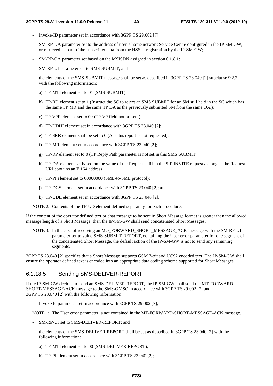- Invoke-ID parameter set in accordance with 3GPP TS 29.002 [7];
- SM-RP-DA parameter set to the address of user"s home network Service Centre configured in the IP-SM-GW, or retrieved as part of the subscriber data from the HSS at registration by the IP-SM-GW;
- SM-RP-OA parameter set based on the MSISDN assigned in section 6.1.8.1;
- SM-RP-UI parameter set to SMS-SUBMIT; and
- the elements of the SMS-SUBMIT message shall be set as described in 3GPP TS 23.040 [2] subclause 9.2.2, with the following information:
	- a) TP-MTI element set to 01 (SMS-SUBMIT);
	- b) TP-RD element set to 1 (Instruct the SC to reject an SMS SUBMIT for an SM still held in the SC which has the same TP MR and the same TP DA as the previously submitted SM from the same OA.);
	- c) TP VPF element set to 00 (TP VP field not present);
	- d) TP-UDHI element set in accordance with 3GPP TS 23.040 [2];
	- e) TP-SRR element shall be set to 0 (A status report is not requested);
	- f) TP-MR element set in accordance with 3GPP TS 23.040 [2];
	- g) TP-RP element set to 0 (TP Reply Path parameter is not set in this SMS SUBMIT);
	- h) TP-DA element set based on the value of the Request-URI in the SIP INVITE request as long as the Request-URI contains an E.164 address;
	- i) TP-PI element set to 00000000 (SME-to-SME protocol);
	- j) TP-DCS element set in accordance with 3GPP TS 23.040 [2]; and
	- k) TP-UDL element set in accordance with 3GPP TS 23.040 [2].

NOTE 2: Contents of the TP-UD element defined separately for each procedure.

If the content of the operator defined text or chat message to be sent in Short Message format is greater than the allowed message length of a Short Message, then the IP-SM-GW shall send concatenated Short Messages.

NOTE 3: In the case of receiving an MO\_FORWARD\_SHORT\_MESSAGE\_ACK message with the SM-RP-UI parameter set to value SMS-SUBMIT-REPORT, containing the User error parameter for one segment of the concatenated Short Message, the default action of the IP-SM-GW is not to send any remaining segments.

3GPP TS 23.040 [2] specifies that a Short Message supports GSM 7-bit and UCS2 encoded text. The IP-SM-GW shall ensure the operator defined text is encoded into an appropriate data coding scheme supported for Short Messages.

#### 6.1.18.5 Sending SMS-DELIVER-REPORT

If the IP-SM-GW decided to send an SMS-DELIVER-REPORT, the IP-SM-GW shall send the MT-FORWARD-SHORT-MESSAGE-ACK message to the SMS-GMSC in accordance with 3GPP TS 29.002 [7] and 3GPP TS 23.040 [2] with the following information:

- Invoke Id parameter set in accordance with 3GPP TS 29.002 [7];

NOTE 1: The User error parameter is not contained in the MT-FORWARD-SHORT-MESSAGE-ACK message.

- SM-RP-UI set to SMS-DELIVER-REPORT; and
- the elements of the SMS-DELIVER-REPORT shall be set as described in 3GPP TS 23.040 [2] with the following information:
	- a) TP-MTI element set to 00 (SMS-DELIVER-REPORT);
	- b) TP-PI element set in accordance with 3GPP TS 23.040 [2];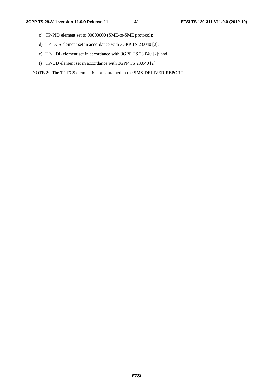- c) TP-PID element set to 00000000 (SME-to-SME protocol);
- d) TP-DCS element set in accordance with 3GPP TS 23.040 [2];
- e) TP-UDL element set in accordance with 3GPP TS 23.040 [2]; and
- f) TP-UD element set in accordance with 3GPP TS 23.040 [2].

### NOTE 2: The TP-FCS element is not contained in the SMS-DELIVER-REPORT.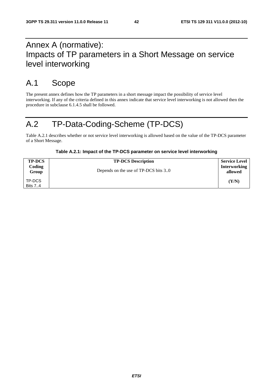## Annex A (normative): Impacts of TP parameters in a Short Message on service level interworking

## A.1 Scope

The present annex defines how the TP parameters in a short message impact the possibility of service level interworking. If any of the criteria defined in this annex indicate that service level interworking is not allowed then the procedure in subclause 6.1.4.5 shall be followed.

## A.2 TP-Data-Coding-Scheme (TP-DCS)

Table A.2.1 describes whether or not service level interworking is allowed based on the value of the TP-DCS parameter of a Short Message.

| <b>TP-DCS</b>            | <b>TP-DCS Description</b>            | <b>Service Level</b>           |
|--------------------------|--------------------------------------|--------------------------------|
| Coding<br>Group          | Depends on the use of TP-DCS bits 30 | <b>Interworking</b><br>allowed |
| TP-DCS<br><b>Bits 74</b> |                                      | (Y/N)                          |

#### **Table A.2.1: Impact of the TP-DCS parameter on service level interworking**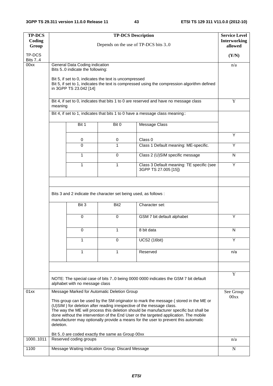| <b>TP-DCS</b><br>Coding<br>Group | <b>TP-DCS Description</b><br><b>Service Level</b><br>Interworking<br>Depends on the use of TP-DCS bits 30                                                                                                                                                                                                                                                                                                                                                                                          |                                                                   |                                                                                              |     |  |  |  |
|----------------------------------|----------------------------------------------------------------------------------------------------------------------------------------------------------------------------------------------------------------------------------------------------------------------------------------------------------------------------------------------------------------------------------------------------------------------------------------------------------------------------------------------------|-------------------------------------------------------------------|----------------------------------------------------------------------------------------------|-----|--|--|--|
| TP-DCS<br><b>Bits 74</b>         |                                                                                                                                                                                                                                                                                                                                                                                                                                                                                                    |                                                                   |                                                                                              |     |  |  |  |
| 00xx                             | General Data Coding indication<br>Bits 50 indicate the following:                                                                                                                                                                                                                                                                                                                                                                                                                                  |                                                                   |                                                                                              |     |  |  |  |
|                                  | Bit 5, if set to 0, indicates the text is uncompressed<br>in 3GPP TS 23.042 [14]                                                                                                                                                                                                                                                                                                                                                                                                                   |                                                                   | Bit 5, if set to 1, indicates the text is compressed using the compression algorithm defined |     |  |  |  |
|                                  | meaning                                                                                                                                                                                                                                                                                                                                                                                                                                                                                            |                                                                   | Bit 4, if set to 0, indicates that bits 1 to 0 are reserved and have no message class        | Y   |  |  |  |
|                                  |                                                                                                                                                                                                                                                                                                                                                                                                                                                                                                    |                                                                   | Bit 4, if set to 1, indicates that bits 1 to 0 have a message class meaning::                |     |  |  |  |
|                                  | Bit 1                                                                                                                                                                                                                                                                                                                                                                                                                                                                                              | Bit 0                                                             | <b>Message Class</b>                                                                         |     |  |  |  |
|                                  | 0                                                                                                                                                                                                                                                                                                                                                                                                                                                                                                  | 0                                                                 | Class 0                                                                                      | Y   |  |  |  |
|                                  | $\mathbf{0}$                                                                                                                                                                                                                                                                                                                                                                                                                                                                                       | 1                                                                 | Class 1 Default meaning: ME-specific.                                                        | Y   |  |  |  |
|                                  | 1                                                                                                                                                                                                                                                                                                                                                                                                                                                                                                  | $\mathbf 0$                                                       | Class 2 (U)SIM specific message                                                              | N   |  |  |  |
|                                  | 1                                                                                                                                                                                                                                                                                                                                                                                                                                                                                                  | Class 3 Default meaning: TE specific (see<br>3GPP TS 27.005 [15]) | $\overline{Y}$                                                                               |     |  |  |  |
|                                  | Bits 3 and 2 indicate the character set being used, as follows :<br>Bit 3                                                                                                                                                                                                                                                                                                                                                                                                                          | Bit <sub>2</sub>                                                  | Character set:                                                                               |     |  |  |  |
|                                  | $\mathbf 0$                                                                                                                                                                                                                                                                                                                                                                                                                                                                                        | 0                                                                 | GSM 7 bit default alphabet                                                                   | Y   |  |  |  |
|                                  | 0                                                                                                                                                                                                                                                                                                                                                                                                                                                                                                  | 1                                                                 | 8 bit data                                                                                   | N   |  |  |  |
|                                  | 1                                                                                                                                                                                                                                                                                                                                                                                                                                                                                                  | $\mathbf 0$                                                       | <b>UCS2 (16bit)</b>                                                                          | Y   |  |  |  |
|                                  | 1                                                                                                                                                                                                                                                                                                                                                                                                                                                                                                  | 1                                                                 | Reserved                                                                                     | n/a |  |  |  |
|                                  |                                                                                                                                                                                                                                                                                                                                                                                                                                                                                                    |                                                                   |                                                                                              |     |  |  |  |
|                                  | NOTE: The special case of bits 70 being 0000 0000 indicates the GSM 7 bit default<br>alphabet with no message class                                                                                                                                                                                                                                                                                                                                                                                | Y                                                                 |                                                                                              |     |  |  |  |
| 01xx                             | Message Marked for Automatic Deletion Group<br>This group can be used by the SM originator to mark the message (stored in the ME or<br>(U)SIM) for deletion after reading irrespective of the message class.<br>The way the ME will process this deletion should be manufacturer specific but shall be<br>done without the intervention of the End User or the targeted application. The mobile<br>manufacturer may optionally provide a means for the user to prevent this automatic<br>deletion. |                                                                   |                                                                                              |     |  |  |  |
| 10001011                         | Bit 50 are coded exactly the same as Group 00xx<br>Reserved coding groups                                                                                                                                                                                                                                                                                                                                                                                                                          |                                                                   |                                                                                              | n/a |  |  |  |
| 1100                             | Message Waiting Indication Group: Discard Message                                                                                                                                                                                                                                                                                                                                                                                                                                                  |                                                                   |                                                                                              |     |  |  |  |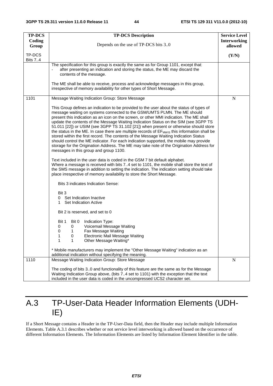| <b>TP-DCS</b>            | <b>TP-DCS Description</b><br><b>Service Level</b><br><b>Interworking</b>                                                                                                                                                                                                                                                                                                                                                                                                                                                                                                                                                                                                                                                                                                                                                                                                              |   |  |  |  |  |  |  |  |
|--------------------------|---------------------------------------------------------------------------------------------------------------------------------------------------------------------------------------------------------------------------------------------------------------------------------------------------------------------------------------------------------------------------------------------------------------------------------------------------------------------------------------------------------------------------------------------------------------------------------------------------------------------------------------------------------------------------------------------------------------------------------------------------------------------------------------------------------------------------------------------------------------------------------------|---|--|--|--|--|--|--|--|
| Coding<br>Group          | Depends on the use of TP-DCS bits 30                                                                                                                                                                                                                                                                                                                                                                                                                                                                                                                                                                                                                                                                                                                                                                                                                                                  |   |  |  |  |  |  |  |  |
| TP-DCS<br><b>Bits 74</b> |                                                                                                                                                                                                                                                                                                                                                                                                                                                                                                                                                                                                                                                                                                                                                                                                                                                                                       |   |  |  |  |  |  |  |  |
|                          | The specification for this group is exactly the same as for Group 1101, except that:<br>after presenting an indication and storing the status, the ME may discard the<br>contents of the message.                                                                                                                                                                                                                                                                                                                                                                                                                                                                                                                                                                                                                                                                                     |   |  |  |  |  |  |  |  |
|                          | The ME shall be able to receive, process and acknowledge messages in this group,<br>irrespective of memory availability for other types of Short Message.                                                                                                                                                                                                                                                                                                                                                                                                                                                                                                                                                                                                                                                                                                                             |   |  |  |  |  |  |  |  |
| 1101                     | Message Waiting Indication Group: Store Message                                                                                                                                                                                                                                                                                                                                                                                                                                                                                                                                                                                                                                                                                                                                                                                                                                       | N |  |  |  |  |  |  |  |
|                          | This Group defines an indication to be provided to the user about the status of types of<br>message waiting on systems connected to the GSM/UMTS PLMN. The ME should<br>present this indication as an icon on the screen, or other MMI indication. The ME shall<br>update the contents of the Message Waiting Indication Status on the SIM (see 3GPP TS<br>51.011 [22]) or USIM (see 3GPP TS 31.102 [21]) when present or otherwise should store<br>the status in the ME. In case there are multiple records of EF <sub>MWIS</sub> this information shall be<br>stored within the first record. The contents of the Message Waiting Indication Status<br>should control the ME indicator. For each indication supported, the mobile may provide<br>storage for the Origination Address. The ME may take note of the Origination Address for<br>messages in this group and group 1100. |   |  |  |  |  |  |  |  |
|                          | Text included in the user data is coded in the GSM 7 bit default alphabet.<br>Where a message is received with bits 74 set to 1101, the mobile shall store the text of<br>the SMS message in addition to setting the indication. The indication setting should take<br>place irrespective of memory availability to store the Short Message.                                                                                                                                                                                                                                                                                                                                                                                                                                                                                                                                          |   |  |  |  |  |  |  |  |
|                          | Bits 3 indicates Indication Sense:                                                                                                                                                                                                                                                                                                                                                                                                                                                                                                                                                                                                                                                                                                                                                                                                                                                    |   |  |  |  |  |  |  |  |
|                          | Bit 3<br>Set Indication Inactive<br>0<br><b>Set Indication Active</b><br>1                                                                                                                                                                                                                                                                                                                                                                                                                                                                                                                                                                                                                                                                                                                                                                                                            |   |  |  |  |  |  |  |  |
|                          | Bit 2 is reserved, and set to 0                                                                                                                                                                                                                                                                                                                                                                                                                                                                                                                                                                                                                                                                                                                                                                                                                                                       |   |  |  |  |  |  |  |  |
|                          | Indication Type:<br>Bit 1<br>Bit 0<br>Voicemail Message Waiting<br>0<br>0<br>0<br>Fax Message Waiting<br>1<br>Electronic Mail Message Waiting<br>1<br>O<br>Other Message Waiting*<br>1<br>1                                                                                                                                                                                                                                                                                                                                                                                                                                                                                                                                                                                                                                                                                           |   |  |  |  |  |  |  |  |
|                          | * Mobile manufacturers may implement the "Other Message Waiting" indication as an<br>additional indication without specifying the meaning.                                                                                                                                                                                                                                                                                                                                                                                                                                                                                                                                                                                                                                                                                                                                            |   |  |  |  |  |  |  |  |
| 1110                     | Message Waiting Indication Group: Store Message                                                                                                                                                                                                                                                                                                                                                                                                                                                                                                                                                                                                                                                                                                                                                                                                                                       | N |  |  |  |  |  |  |  |
|                          | The coding of bits 30 and functionality of this feature are the same as for the Message<br>Waiting Indication Group above, (bits 74 set to 1101) with the exception that the text<br>included in the user data is coded in the uncompressed UCS2 character set.                                                                                                                                                                                                                                                                                                                                                                                                                                                                                                                                                                                                                       |   |  |  |  |  |  |  |  |

## A.3 TP-User-Data Header Information Elements (UDH-IE)

If a Short Message contains a Header in the TP-User-Data field, then the Header may include multiple Information Elements. Table A.3.1 describes whether or not service level interworking is allowed based on the occurrence of different Information Elements. The Information Elements are listed by Information Element Identifier in the table.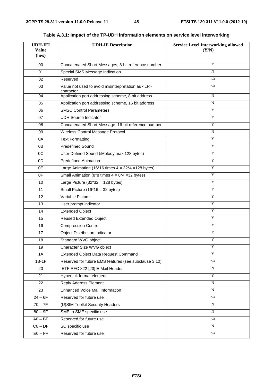| <b>UDH-IEI</b><br><b>Value</b><br>(hex) | <b>UDH-IE Description</b>                                            | <b>Service Level Interworking allowed</b><br>(Y/N) |
|-----------------------------------------|----------------------------------------------------------------------|----------------------------------------------------|
| 00                                      | Concatenated Short Messages, 8-bit reference number                  | Y                                                  |
| 01                                      | Special SMS Message Indication                                       | N                                                  |
| 02                                      | Reserved                                                             | n/a                                                |
| 03                                      | Value not used to avoid misinterpretation as <lf><br/>character</lf> | n/a                                                |
| 04                                      | Application port addressing scheme, 8 bit address                    | $\mathbf N$                                        |
| 05                                      | Application port addressing scheme, 16 bit address                   | N                                                  |
| 06                                      | <b>SMSC Control Parameters</b>                                       | Y                                                  |
| 07                                      | <b>UDH Source Indicator</b>                                          | Y                                                  |
| 08                                      | Concatenated Short Message, 16-bit reference number                  | Y                                                  |
| 09                                      | Wireless Control Message Protocol                                    | N                                                  |
| 0A                                      | <b>Text Formatting</b>                                               | Y                                                  |
| 0B                                      | <b>Predefined Sound</b>                                              | Y                                                  |
| $\overline{OC}$                         | User Defined Sound (iMelody max 128 bytes)                           | Y                                                  |
| 0 <sub>D</sub>                          | <b>Predefined Animation</b>                                          | Y                                                  |
| 0E                                      | Large Animation (16*16 times $4 = 32*4 = 128$ bytes)                 | Y                                                  |
| 0F                                      | Small Animation ( $8*8$ times $4 = 8*4 = 32$ bytes)                  | Y                                                  |
| 10                                      | Large Picture $(32*32 = 128$ bytes)                                  | Y                                                  |
| 11                                      | Small Picture $(16*16 = 32$ bytes)                                   | Y                                                  |
| $\overline{12}$                         | Variable Picture                                                     | Y                                                  |
| 13                                      | User prompt indicator                                                | Y                                                  |
| 14                                      | <b>Extended Object</b>                                               | Y                                                  |
| 15                                      | <b>Reused Extended Object</b>                                        | $\mathbf Y$                                        |
| 16                                      | <b>Compression Control</b>                                           | Y                                                  |
| 17                                      | <b>Object Distribution Indicator</b>                                 | $\mathbf Y$                                        |
| 18                                      | Standard WVG object                                                  | Y                                                  |
| 19                                      | Character Size WVG object                                            | Y                                                  |
| 1A                                      | Extended Object Data Request Command                                 | Y                                                  |
| $1B-1F$                                 | Reserved for future EMS features (see subclause 3.10)                | n/a                                                |
| 20                                      | IETF RFC 822 [23] E-Mail Header                                      | N                                                  |
| 21                                      | Hyperlink format element                                             | Y                                                  |
| 22                                      | <b>Reply Address Element</b>                                         | $\mathbf N$                                        |
| 23                                      | <b>Enhanced Voice Mail Information</b>                               | ${\bf N}$                                          |
| $24 - 6F$                               | Reserved for future use                                              | n/a                                                |
| $70 - 7F$                               | (U)SIM Toolkit Security Headers                                      | ${\bf N}$                                          |
| $80 - 9F$                               | SME to SME specific use                                              | N                                                  |
| $AO - BF$                               | Reserved for future use                                              | n/a                                                |
| $CO - DF$                               | SC specific use                                                      | N                                                  |
| $E0 - FF$                               | Reserved for future use                                              | n/a                                                |

**Table A.3.1: Impact of the TP-UDH information elements on service level interworking**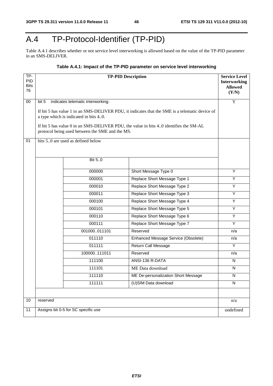## A.4 TP-Protocol-Identifier (TP-PID)

Table A.4.1 describes whether or not service level interworking is allowed based on the value of the TP-PID parameter in an SMS-DELIVER.

### **Table A.4.1: Impact of the TP-PID parameter on service level interworking**

| $TP-$<br><b>PID</b><br><b>Bits</b><br>76 | <b>TP-PID Description</b><br><b>Interworking</b>                                                                                                                                                                                 |                                     |                |  |  |  |  |  |
|------------------------------------------|----------------------------------------------------------------------------------------------------------------------------------------------------------------------------------------------------------------------------------|-------------------------------------|----------------|--|--|--|--|--|
| $00\,$                                   | bit 5<br>indicates telematic interworking:                                                                                                                                                                                       |                                     | $\overline{Y}$ |  |  |  |  |  |
|                                          | If bit 5 has value 1 in an SMS-DELIVER PDU, it indicates that the SME is a telematic device of<br>a type which is indicated in bits 40.<br>If bit 5 has value 0 in an SMS-DELIVER PDU, the value in bits 40 identifies the SM-AL |                                     |                |  |  |  |  |  |
|                                          | protocol being used between the SME and the MS.                                                                                                                                                                                  |                                     |                |  |  |  |  |  |
| 01                                       | bits 50 are used as defined below<br>Bit 50                                                                                                                                                                                      |                                     |                |  |  |  |  |  |
|                                          |                                                                                                                                                                                                                                  |                                     |                |  |  |  |  |  |
|                                          | 000000                                                                                                                                                                                                                           | Short Message Type 0                | Y              |  |  |  |  |  |
|                                          | 000001                                                                                                                                                                                                                           | Replace Short Message Type 1        | Y              |  |  |  |  |  |
|                                          | 000010                                                                                                                                                                                                                           | Replace Short Message Type 2        | Υ              |  |  |  |  |  |
|                                          | 000011                                                                                                                                                                                                                           | Replace Short Message Type 3        | Y              |  |  |  |  |  |
|                                          | 000100                                                                                                                                                                                                                           | Replace Short Message Type 4        | $\overline{Y}$ |  |  |  |  |  |
|                                          | 000101                                                                                                                                                                                                                           | Replace Short Message Type 5        | Y              |  |  |  |  |  |
|                                          | Replace Short Message Type 6<br>000110                                                                                                                                                                                           |                                     |                |  |  |  |  |  |
|                                          | 000111<br>Replace Short Message Type 7                                                                                                                                                                                           |                                     |                |  |  |  |  |  |
|                                          | 001000011101<br>Reserved                                                                                                                                                                                                         |                                     |                |  |  |  |  |  |
|                                          | 011110<br>Enhanced Message Service (Obsolete)                                                                                                                                                                                    |                                     |                |  |  |  |  |  |
|                                          | 011111<br><b>Return Call Message</b>                                                                                                                                                                                             |                                     |                |  |  |  |  |  |
|                                          | 100000111011<br>Reserved                                                                                                                                                                                                         |                                     |                |  |  |  |  |  |
|                                          | 111100                                                                                                                                                                                                                           | ANSI-136 R-DATA                     | N              |  |  |  |  |  |
|                                          | 111101                                                                                                                                                                                                                           | ME Data download                    | N              |  |  |  |  |  |
|                                          | 111110                                                                                                                                                                                                                           | ME De-personalization Short Message | N              |  |  |  |  |  |
|                                          | (U)SIM Data download<br>111111                                                                                                                                                                                                   |                                     |                |  |  |  |  |  |
|                                          |                                                                                                                                                                                                                                  |                                     |                |  |  |  |  |  |
| $10$                                     | reserved                                                                                                                                                                                                                         |                                     | n/a            |  |  |  |  |  |
| 11                                       | Assigns bit 0-5 for SC specific use<br>undefined                                                                                                                                                                                 |                                     |                |  |  |  |  |  |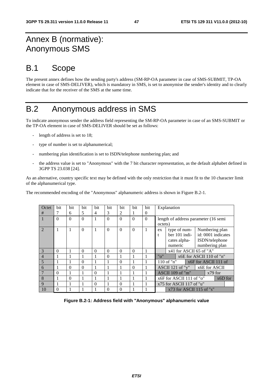## Annex B (normative): Anonymous SMS

## B.1 Scope

The present annex defines how the sending party's address (SM-RP-OA parameter in case of SMS-SUBMIT, TP-OA element in case of SMS-DELIVER), which is mandatory in SMS, is set to anonymise the sender's identity and to clearly indicate that for the receiver of the SMS at the same time.

## B.2 Anonymous address in SMS

To indicate anonymous sender the address field representing the SM-RP-OA parameter in case of an SMS-SUBMIT or the TP-OA element in case of SMS-DELIVER should be set as follows:

- length of address is set to 18;
- type of number is set to alphanumerical;
- numbering plan identification is set to ISDN/telephone numbering plan; and
- the address value is set to "Anonymous" with the 7 bit character representation, as the default alphabet defined in 3GPP TS 23.038 [24].

As an alternative, country specific text may be defined with the only restriction that it must fit to the 10 character limit of the alphanumerical type.

The recommended encoding of the "Anonymous" alphanumeric address is shown in Figure B.2-1.

| Octet          | bit      | bit      | bit      | bit      | bit      | bit      | bit      | bit      | Explanation                              |  |
|----------------|----------|----------|----------|----------|----------|----------|----------|----------|------------------------------------------|--|
| #              |          | 6        | 5        | 4        | 3        | 2        |          | 0        |                                          |  |
|                | $\Omega$ | $\Omega$ | $\Omega$ |          | $\Omega$ | $\Omega$ | $\Omega$ | $\Omega$ | length of address parameter (16 semi     |  |
|                |          |          |          |          |          |          |          |          | octets)                                  |  |
| $\mathcal{L}$  | 1        |          | $\Omega$ |          | $\Omega$ | $\Omega$ | $\Omega$ |          | Numbering plan<br>type of num-<br>ex     |  |
|                |          |          |          |          |          |          |          |          | id: 0001 indicates<br>$ber 101$ indi-    |  |
|                |          |          |          |          |          |          |          |          | cates alpha-<br>ISDN/telephone           |  |
|                |          |          |          |          |          |          |          |          | numbering plan<br>numeric                |  |
| $\mathcal{R}$  | $\Omega$ |          | $\Omega$ | $\Omega$ | $\Omega$ | $\Omega$ | $\Omega$ |          | $x41$ for ASCII 65 of "A"                |  |
| $\overline{4}$ |          |          |          |          | $\Omega$ |          |          |          | "o"<br>$x6E$ for ASCII 110 of "n"        |  |
| 5              |          |          | $\Omega$ |          |          | $\Omega$ |          |          | $110$ of "n"<br>x6F for ASCII 111 of     |  |
| 6              |          | $\Omega$ | $\Omega$ |          |          |          | $\Omega$ |          | ASCII 121 of " $y$ "<br>x6E for ASCII    |  |
| $\overline{7}$ | $\Omega$ |          |          | $\Omega$ |          |          |          |          | $\triangle$ SCII 109 of "m"<br>$x79$ for |  |
| 8              |          | $\Omega$ |          |          |          |          |          |          | x6F for ASCII 111 of "o"<br>$x6D$ for    |  |
| 9              |          |          |          | $\Omega$ | 1        | $\Omega$ | 1        |          | x75 for ASCII 117 of "u"                 |  |
| 10             | $\Omega$ |          |          |          | $\Omega$ | $\Omega$ |          |          | $x73$ for ASCII 115 of "s"               |  |

**Figure B.2-1: Address field with "Anonymous" alphanumeric value**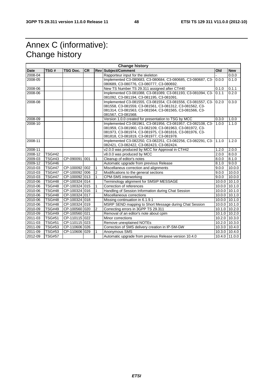## Annex C (informative): Change history

| <b>Change history</b> |               |                 |           |                |                                                                                                               |       |               |
|-----------------------|---------------|-----------------|-----------|----------------|---------------------------------------------------------------------------------------------------------------|-------|---------------|
| <b>Date</b>           | TSG#          | <b>TSG Doc.</b> | <b>CR</b> |                | <b>Rev Subject/Comment</b>                                                                                    | Old   | <b>New</b>    |
| 2008-04               |               |                 |           |                | Rapporteur input for the skeleton                                                                             |       | 0.0.0         |
| 2008-05               |               |                 |           |                | Implemented C3-080683, C3-080684, C3-080685, C3-080687, C3-                                                   | 0.0.0 | 0.1.0         |
|                       |               |                 |           |                | 080689, C3-080776, C3-080777, C3-080692.                                                                      |       |               |
| 2008-06               |               |                 |           |                | New TS Number TS 29.311 assigned after CT#40                                                                  | 0.1.0 | 0.1.1         |
| 2008-06               |               |                 |           |                | Implemented C3-081088, C3-081089, C3-081193, C3-081094, C3-                                                   | 0.1.1 | 0.2.0         |
|                       |               |                 |           |                | 081092, C3-081194, C3-081195, C3-081091.                                                                      |       |               |
| 2008-08               |               |                 |           |                | Implemented C3-081555, C3-081554, C3-081556, C3-081557, C3-                                                   | 0.2.0 | 0.3.0         |
|                       |               |                 |           |                | 081558, C3-081559, C3-081561, C3-081312, C3-081562, C3-                                                       |       |               |
|                       |               |                 |           |                | 081314, C3-081563, C3-081564, C3-081565, C3-081566, C3-                                                       |       |               |
|                       |               |                 |           |                | 081567, C3-081568.                                                                                            |       |               |
| 2008-09               |               |                 |           |                | Version 1.0.0 created for presentation to TSG by MCC                                                          | 0.3.0 | 1.0.0         |
| 2008-10               |               |                 |           |                | Implemented C3-081961, C3-081956, C3-081957, C3-082108, C3-                                                   | 1.0.0 | 1.1.0         |
|                       |               |                 |           |                | 081959, C3-081960, C3-082109, C3-081963, C3-081972, C3-                                                       |       |               |
|                       |               |                 |           |                | 081973, C3-081974, C3-081975, C3-081816, C3-081976, C3-                                                       |       |               |
| 2008-11               |               |                 |           |                | 081818, C3-081819, C3-081977, C3-081978.<br>Implemented C3-082250, C3-082251, C3-082256, C3-082291, C3- 1.1.0 |       | 1.2.0         |
|                       |               |                 |           |                | 082421, C3-082422, C3-082423, C3-082424.                                                                      |       |               |
| 2008-11               |               |                 |           |                | v2.0.0 was produced by MCC for Approval in CT#42                                                              | 1.2.0 | 2.0.0         |
| 2008-12               | <b>TSG#42</b> |                 |           |                | v8.0.0 was produced by MCC                                                                                    | 2.0.0 | 8.0.0         |
| 2009-03               | <b>TSG#43</b> | CP-090091 001   |           | 1              | Cleanup of editor's notes                                                                                     | 8.0.0 | 8.1.0         |
| 2009-12               | <b>TSG#46</b> |                 |           |                | Automatic upgrade from previous Release                                                                       | 8.1.0 | 9.0.0         |
| 2010-03               | <b>TSG#47</b> | CP-100092 002   |           | 1              | Miscellaneus correction and alignments                                                                        | 9.0.0 | 10.0.0        |
| 2010-03               | <b>TSG#47</b> | CP-100092 006   |           | $\overline{2}$ | Modifications to the general sections                                                                         | 9.0.0 | 10.0.0        |
| 2010-03               | <b>TSG#47</b> | CP-100092 013   |           | 1              | <b>CPM-SMS</b> interworking                                                                                   | 9.0.0 | 10.0.0        |
| 2010-06               | <b>TSG#48</b> | CP-100324 014   |           |                | Terminology alignment for SMSIP MESSAGE                                                                       |       | 10.0.0 10.1.0 |
| 2010-06               | <b>TSG#48</b> | CP-100324 015   |           |                | Correction of references                                                                                      |       | 10.0.0 10.1.0 |
| 2010-06               | <b>TSG#48</b> | CP-100324 016   |           |                | Handling of Session Information during Chat Session                                                           |       | 10.0.0 10.1.0 |
| 2010-06               | <b>TSG#48</b> | CP-100324 017   |           |                | Miscellaneous corrections                                                                                     |       | 10.0.0 10.1.0 |
| 2010-06               | <b>TSG#48</b> | CP-100324 018   |           |                | Missing continuation in 6.1.9.1                                                                               |       | 10.0.0 10.1.0 |
| 2010-06               | <b>TSG#48</b> | CP-100324 019   |           |                | MSRP SEND mapping to Short Message during Chat Session                                                        |       | 10.0.0 10.1.0 |
| 2010-09               | <b>TSG#49</b> | CP-100560 020   |           | 2              | Correcting errors in 3GPP TS 29.311                                                                           |       | 10.1.0 10.2.0 |
| 2010-09               | <b>TSG#49</b> | CP-100560 021   |           |                | Removal of an editor's note about cpim                                                                        |       | 10.1.0 10.2.0 |
| 2011-03               | <b>TSG#51</b> | CP-110115 022   |           |                | Minor corrections                                                                                             |       | 10.2.0 10.3.0 |
| 2011-03               | <b>TSG#51</b> | CP-110115 023   |           |                | Remove unexplained NOTEs                                                                                      |       | 10.2.0 10.3.0 |
| 2011-09               | <b>TSG#53</b> | CP-110606 026   |           |                | Correction of SMS delivery creation in IP-SM-GW                                                               |       | 10.3.0 10.4.0 |
| 2011-09               | <b>TSG#53</b> | CP-110606 029   |           |                | Anonymous SMS                                                                                                 |       | 10.3.0 10.4.0 |
| 2012-09               | <b>TSG#57</b> |                 |           |                | Automatic upgrade from previous Release version 10.4.0                                                        |       | 10.4.0 11.0.0 |